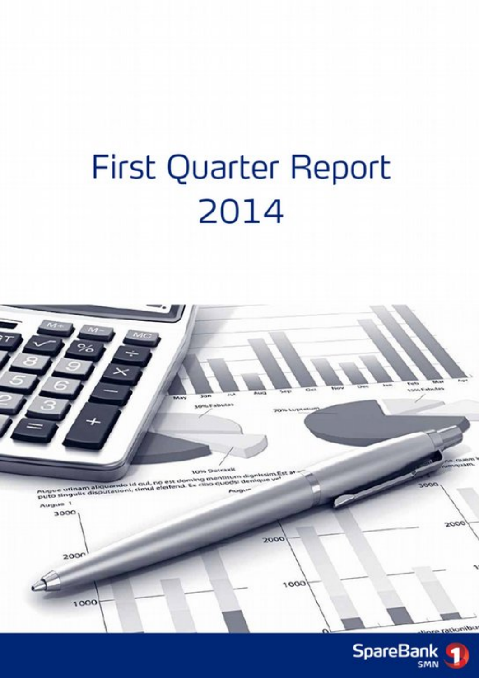# First Quarter Report 2014



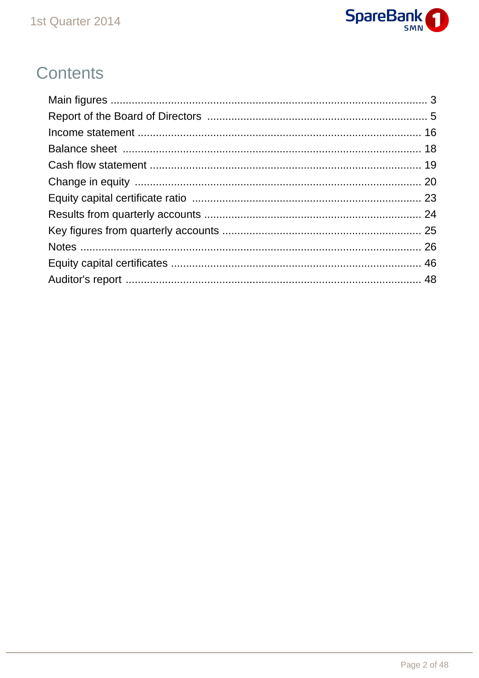

# Contents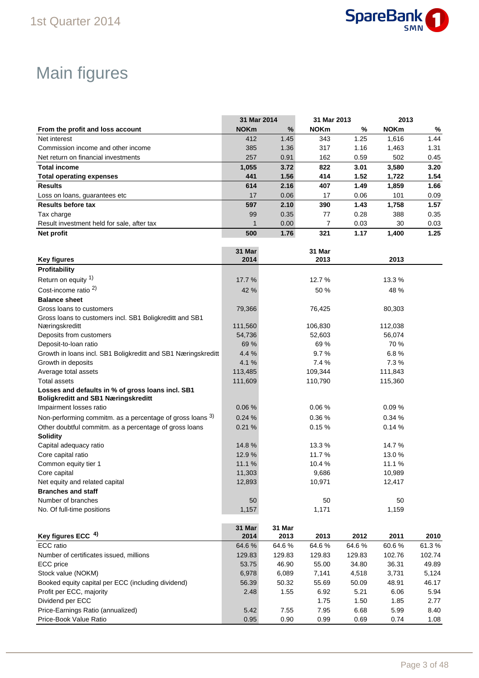

# Main figures

|                                                               | 31 Mar 2014 |        | 31 Mar 2013 |        | 2013        |        |
|---------------------------------------------------------------|-------------|--------|-------------|--------|-------------|--------|
| From the profit and loss account                              | <b>NOKm</b> | %      | <b>NOKm</b> | %      | <b>NOKm</b> | $\%$   |
| Net interest                                                  | 412         | 1.45   | 343         | 1.25   | 1,616       | 1.44   |
| Commission income and other income                            | 385         | 1.36   | 317         | 1.16   | 1,463       | 1.31   |
| Net return on financial investments                           | 257         | 0.91   | 162         | 0.59   | 502         | 0.45   |
| <b>Total income</b>                                           | 1,055       | 3.72   | 822         | 3.01   | 3,580       | 3.20   |
| <b>Total operating expenses</b>                               | 441         | 1.56   | 414         | 1.52   | 1,722       | 1.54   |
| <b>Results</b>                                                | 614         | 2.16   | 407         | 1.49   | 1,859       | 1.66   |
| Loss on loans, guarantees etc                                 | 17          | 0.06   | 17          | 0.06   | 101         | 0.09   |
| <b>Results before tax</b>                                     | 597         | 2.10   | 390         | 1.43   | 1,758       | 1.57   |
| Tax charge                                                    | 99          | 0.35   | 77          | 0.28   | 388         | 0.35   |
| Result investment held for sale, after tax                    | 1           | 0.00   | 7           | 0.03   | 30          | 0.03   |
| Net profit                                                    | 500         | 1.76   | 321         | 1.17   | 1,400       | 1.25   |
|                                                               |             |        |             |        |             |        |
|                                                               | 31 Mar      |        | 31 Mar      |        |             |        |
| <b>Key figures</b>                                            | 2014        |        | 2013        |        | 2013        |        |
| Profitability                                                 |             |        |             |        |             |        |
| Return on equity 1)                                           | 17.7 %      |        | 12.7 %      |        | 13.3 %      |        |
| Cost-income ratio <sup>2)</sup>                               | 42 %        |        | 50 %        |        | 48 %        |        |
| <b>Balance sheet</b>                                          |             |        |             |        |             |        |
| Gross loans to customers                                      | 79,366      |        | 76,425      |        | 80,303      |        |
| Gross loans to customers incl. SB1 Boligkreditt and SB1       |             |        |             |        |             |        |
| Næringskreditt                                                | 111,560     |        | 106,830     |        | 112,038     |        |
| Deposits from customers                                       | 54,736      |        | 52.603      |        | 56,074      |        |
| Deposit-to-loan ratio                                         | 69 %        |        | 69 %        |        | 70 %        |        |
| Growth in loans incl. SB1 Boligkreditt and SB1 Næringskreditt | 4.4 %       |        | 9.7%        |        | 6.8%        |        |
| Growth in deposits                                            | 4.1%        |        | 7.4 %       |        | 7.3%        |        |
| Average total assets                                          | 113,485     |        | 109,344     |        | 111,843     |        |
| <b>Total assets</b>                                           | 111,609     |        | 110,790     |        | 115,360     |        |
| Losses and defaults in % of gross loans incl. SB1             |             |        |             |        |             |        |
| <b>Boligkreditt and SB1 Næringskreditt</b>                    |             |        |             |        |             |        |
| Impairment losses ratio                                       | 0.06%       |        | 0.06%       |        | 0.09%       |        |
| Non-performing commitm. as a percentage of gross loans 3)     | 0.24%       |        | 0.36%       |        | 0.34 %      |        |
| Other doubtful commitm. as a percentage of gross loans        | 0.21%       |        | 0.15%       |        | 0.14%       |        |
| <b>Solidity</b>                                               |             |        |             |        |             |        |
| Capital adequacy ratio                                        | 14.8%       |        | 13.3 %      |        | 14.7 %      |        |
| Core capital ratio                                            | 12.9%       |        | 11.7%       |        | 13.0%       |        |
| Common equity tier 1                                          | 11.1%       |        | 10.4 %      |        | 11.1%       |        |
| Core capital                                                  | 11,303      |        | 9,686       |        | 10,989      |        |
| Net equity and related capital                                | 12,893      |        | 10,971      |        | 12,417      |        |
| <b>Branches and staff</b>                                     |             |        |             |        |             |        |
| Number of branches                                            | 50          |        | 50          |        | 50          |        |
| No. Of full-time positions                                    | 1,157       |        | 1,171       |        | 1,159       |        |
|                                                               |             |        |             |        |             |        |
|                                                               | 31 Mar      | 31 Mar |             |        |             |        |
| Key figures ECC 4)                                            | 2014        | 2013   | 2013        | 2012   | 2011        | 2010   |
| ECC ratio                                                     | 64.6%       | 64.6%  | 64.6%       | 64.6%  | 60.6%       | 61.3%  |
| Number of certificates issued, millions                       | 129.83      | 129.83 | 129.83      | 129.83 | 102.76      | 102.74 |
| ECC price                                                     | 53.75       | 46.90  | 55.00       | 34.80  | 36.31       | 49.89  |
| Stock value (NOKM)                                            | 6,978       | 6,089  | 7,141       | 4,518  | 3,731       | 5,124  |
| Booked equity capital per ECC (including dividend)            | 56.39       | 50.32  | 55.69       | 50.09  | 48.91       | 46.17  |
| Profit per ECC, majority                                      | 2.48        | 1.55   | 6.92        | 5.21   | 6.06        | 5.94   |
| Dividend per ECC                                              |             |        | 1.75        | 1.50   | 1.85        | 2.77   |
| Price-Earnings Ratio (annualized)                             | 5.42        | 7.55   | 7.95        | 6.68   | 5.99        | 8.40   |

Price-Book Value Ratio 0.95 0.90 0.99 0.69 0.74 1.08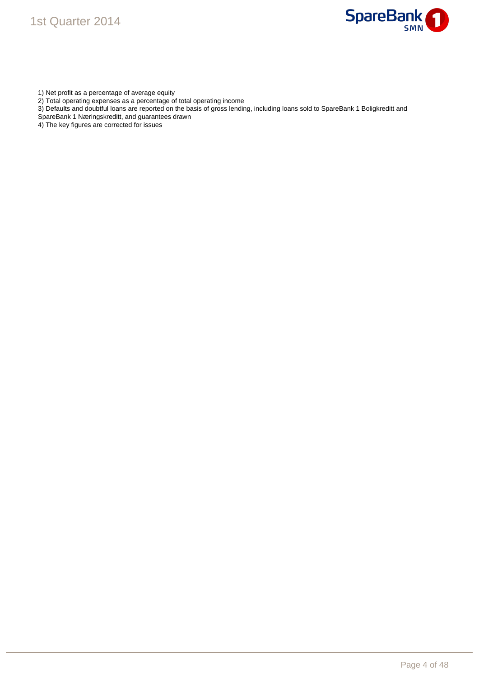



- 1) Net profit as a percentage of average equity
- 2) Total operating expenses as a percentage of total operating income
- 3) Defaults and doubtful loans are reported on the basis of gross lending, including loans sold to SpareBank 1 Boligkreditt and
- SpareBank 1 Næringskreditt, and guarantees drawn
- 4) The key figures are corrected for issues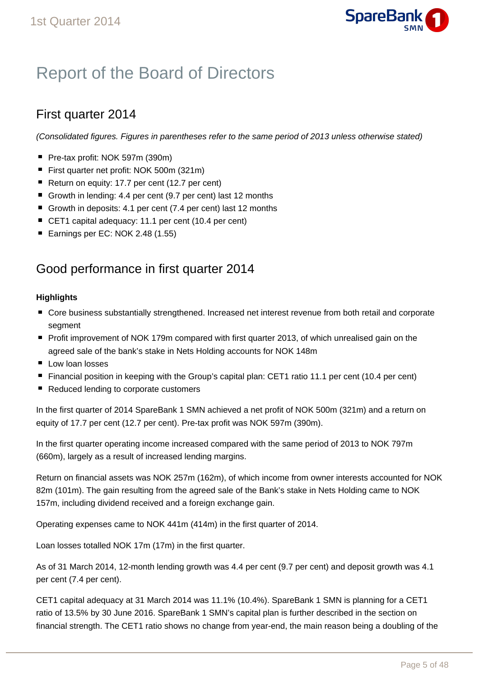

# Report of the Board of Directors

### First quarter 2014

(Consolidated figures. Figures in parentheses refer to the same period of 2013 unless otherwise stated)

- Pre-tax profit: NOK 597m (390m)
- First quarter net profit: NOK 500m (321m)
- Return on equity: 17.7 per cent (12.7 per cent)
- Growth in lending: 4.4 per cent (9.7 per cent) last 12 months
- Growth in deposits: 4.1 per cent (7.4 per cent) last 12 months
- CET1 capital adequacy: 11.1 per cent (10.4 per cent)
- Earnings per EC: NOK 2.48 (1.55)

### Good performance in first quarter 2014

### **Highlights**

- Core business substantially strengthened. Increased net interest revenue from both retail and corporate segment
- Profit improvement of NOK 179m compared with first quarter 2013, of which unrealised gain on the agreed sale of the bank's stake in Nets Holding accounts for NOK 148m
- **Low loan losses**
- Financial position in keeping with the Group's capital plan: CET1 ratio 11.1 per cent (10.4 per cent)
- Reduced lending to corporate customers

In the first quarter of 2014 SpareBank 1 SMN achieved a net profit of NOK 500m (321m) and a return on equity of 17.7 per cent (12.7 per cent). Pre-tax profit was NOK 597m (390m).

In the first quarter operating income increased compared with the same period of 2013 to NOK 797m (660m), largely as a result of increased lending margins.

Return on financial assets was NOK 257m (162m), of which income from owner interests accounted for NOK 82m (101m). The gain resulting from the agreed sale of the Bank's stake in Nets Holding came to NOK 157m, including dividend received and a foreign exchange gain.

Operating expenses came to NOK 441m (414m) in the first quarter of 2014.

Loan losses totalled NOK 17m (17m) in the first quarter.

As of 31 March 2014, 12-month lending growth was 4.4 per cent (9.7 per cent) and deposit growth was 4.1 per cent (7.4 per cent).

CET1 capital adequacy at 31 March 2014 was 11.1% (10.4%). SpareBank 1 SMN is planning for a CET1 ratio of 13.5% by 30 June 2016. SpareBank 1 SMN's capital plan is further described in the section on financial strength. The CET1 ratio shows no change from year-end, the main reason being a doubling of the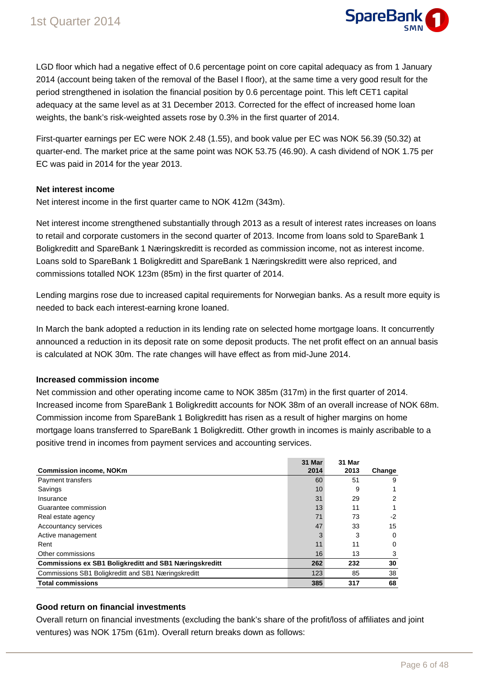

LGD floor which had a negative effect of 0.6 percentage point on core capital adequacy as from 1 January 2014 (account being taken of the removal of the Basel I floor), at the same time a very good result for the period strengthened in isolation the financial position by 0.6 percentage point. This left CET1 capital adequacy at the same level as at 31 December 2013. Corrected for the effect of increased home loan weights, the bank's risk-weighted assets rose by 0.3% in the first quarter of 2014.

First-quarter earnings per EC were NOK 2.48 (1.55), and book value per EC was NOK 56.39 (50.32) at quarter-end. The market price at the same point was NOK 53.75 (46.90). A cash dividend of NOK 1.75 per EC was paid in 2014 for the year 2013.

### **Net interest income**

Net interest income in the first quarter came to NOK 412m (343m).

Net interest income strengthened substantially through 2013 as a result of interest rates increases on loans to retail and corporate customers in the second quarter of 2013. Income from loans sold to SpareBank 1 Boligkreditt and SpareBank 1 Næringskreditt is recorded as commission income, not as interest income. Loans sold to SpareBank 1 Boligkreditt and SpareBank 1 Næringskreditt were also repriced, and commissions totalled NOK 123m (85m) in the first quarter of 2014.

Lending margins rose due to increased capital requirements for Norwegian banks. As a result more equity is needed to back each interest-earning krone loaned.

In March the bank adopted a reduction in its lending rate on selected home mortgage loans. It concurrently announced a reduction in its deposit rate on some deposit products. The net profit effect on an annual basis is calculated at NOK 30m. The rate changes will have effect as from mid-June 2014.

### **Increased commission income**

Net commission and other operating income came to NOK 385m (317m) in the first quarter of 2014. Increased income from SpareBank 1 Boligkreditt accounts for NOK 38m of an overall increase of NOK 68m. Commission income from SpareBank 1 Boligkreditt has risen as a result of higher margins on home mortgage loans transferred to SpareBank 1 Boligkreditt. Other growth in incomes is mainly ascribable to a positive trend in incomes from payment services and accounting services.

|                                                               | 31 Mar | 31 Mar |        |
|---------------------------------------------------------------|--------|--------|--------|
| <b>Commission income, NOKm</b>                                | 2014   | 2013   | Change |
| <b>Payment transfers</b>                                      | 60     | 51     | 9      |
| Savings                                                       | 10     | 9      |        |
| Insurance                                                     | 31     | 29     | 2      |
| Guarantee commission                                          | 13     | 11     |        |
| Real estate agency                                            | 71     | 73     | -2     |
| Accountancy services                                          | 47     | 33     | 15     |
| Active management                                             | 3      | 3      | 0      |
| Rent                                                          | 11     | 11     | 0      |
| Other commissions                                             | 16     | 13     | 3      |
| <b>Commissions ex SB1 Boligkreditt and SB1 Næringskreditt</b> | 262    | 232    | 30     |
| Commissions SB1 Boligkreditt and SB1 Næringskreditt           | 123    | 85     | 38     |
| <b>Total commissions</b>                                      | 385    | 317    | 68     |

### **Good return on financial investments**

Overall return on financial investments (excluding the bank's share of the profit/loss of affiliates and joint ventures) was NOK 175m (61m). Overall return breaks down as follows: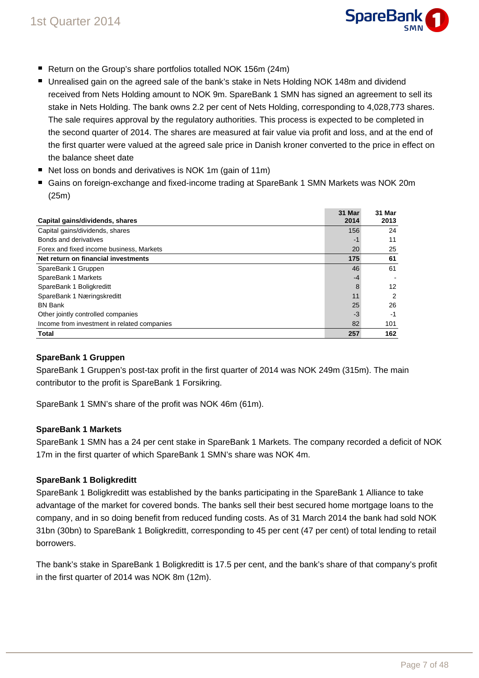

- Return on the Group's share portfolios totalled NOK 156m (24m)
- Unrealised gain on the agreed sale of the bank's stake in Nets Holding NOK 148m and dividend received from Nets Holding amount to NOK 9m. SpareBank 1 SMN has signed an agreement to sell its stake in Nets Holding. The bank owns 2.2 per cent of Nets Holding, corresponding to 4,028,773 shares. The sale requires approval by the regulatory authorities. This process is expected to be completed in the second quarter of 2014. The shares are measured at fair value via profit and loss, and at the end of the first quarter were valued at the agreed sale price in Danish kroner converted to the price in effect on the balance sheet date
- Net loss on bonds and derivatives is NOK 1m (gain of 11m)
- Gains on foreign-exchange and fixed-income trading at SpareBank 1 SMN Markets was NOK 20m (25m)

|                                             | 31 Mar | 31 Mar         |
|---------------------------------------------|--------|----------------|
| Capital gains/dividends, shares             | 2014   | 2013           |
| Capital gains/dividends, shares             | 156    | 24             |
| Bonds and derivatives                       | $-1$   | 11             |
| Forex and fixed income business, Markets    | 20     | 25             |
| Net return on financial investments         | 175    | 61             |
| SpareBank 1 Gruppen                         | 46     | 61             |
| SpareBank 1 Markets                         | $-4$   |                |
| SpareBank 1 Boligkreditt                    | 8      | 12             |
| SpareBank 1 Næringskreditt                  | 11     | $\overline{2}$ |
| <b>BN Bank</b>                              | 25     | 26             |
| Other jointly controlled companies          | $-3$   | -1             |
| Income from investment in related companies | 82     | 101            |
| <b>Total</b>                                | 257    | 162            |

### **SpareBank 1 Gruppen**

SpareBank 1 Gruppen's post-tax profit in the first quarter of 2014 was NOK 249m (315m). The main contributor to the profit is SpareBank 1 Forsikring.

SpareBank 1 SMN's share of the profit was NOK 46m (61m).

### **SpareBank 1 Markets**

SpareBank 1 SMN has a 24 per cent stake in SpareBank 1 Markets. The company recorded a deficit of NOK 17m in the first quarter of which SpareBank 1 SMN's share was NOK 4m.

### **SpareBank 1 Boligkreditt**

SpareBank 1 Boligkreditt was established by the banks participating in the SpareBank 1 Alliance to take advantage of the market for covered bonds. The banks sell their best secured home mortgage loans to the company, and in so doing benefit from reduced funding costs. As of 31 March 2014 the bank had sold NOK 31bn (30bn) to SpareBank 1 Boligkreditt, corresponding to 45 per cent (47 per cent) of total lending to retail borrowers.

The bank's stake in SpareBank 1 Boligkreditt is 17.5 per cent, and the bank's share of that company's profit in the first quarter of 2014 was NOK 8m (12m).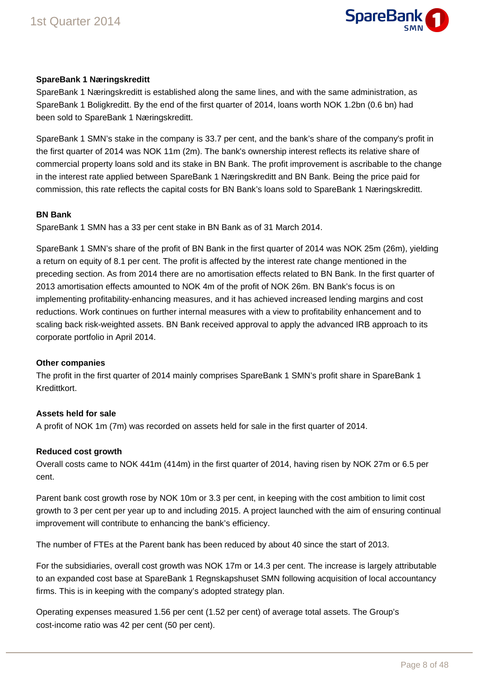

### **SpareBank 1 Næringskreditt**

SpareBank 1 Næringskreditt is established along the same lines, and with the same administration, as SpareBank 1 Boligkreditt. By the end of the first quarter of 2014, loans worth NOK 1.2bn (0.6 bn) had been sold to SpareBank 1 Næringskreditt.

SpareBank 1 SMN's stake in the company is 33.7 per cent, and the bank's share of the company's profit in the first quarter of 2014 was NOK 11m (2m). The bank's ownership interest reflects its relative share of commercial property loans sold and its stake in BN Bank. The profit improvement is ascribable to the change in the interest rate applied between SpareBank 1 Næringskreditt and BN Bank. Being the price paid for commission, this rate reflects the capital costs for BN Bank's loans sold to SpareBank 1 Næringskreditt.

#### **BN Bank**

SpareBank 1 SMN has a 33 per cent stake in BN Bank as of 31 March 2014.

SpareBank 1 SMN's share of the profit of BN Bank in the first quarter of 2014 was NOK 25m (26m), yielding a return on equity of 8.1 per cent. The profit is affected by the interest rate change mentioned in the preceding section. As from 2014 there are no amortisation effects related to BN Bank. In the first quarter of 2013 amortisation effects amounted to NOK 4m of the profit of NOK 26m. BN Bank's focus is on implementing profitability-enhancing measures, and it has achieved increased lending margins and cost reductions. Work continues on further internal measures with a view to profitability enhancement and to scaling back risk-weighted assets. BN Bank received approval to apply the advanced IRB approach to its corporate portfolio in April 2014.

### **Other companies**

The profit in the first quarter of 2014 mainly comprises SpareBank 1 SMN's profit share in SpareBank 1 Kredittkort.

### **Assets held for sale**

A profit of NOK 1m (7m) was recorded on assets held for sale in the first quarter of 2014.

### **Reduced cost growth**

Overall costs came to NOK 441m (414m) in the first quarter of 2014, having risen by NOK 27m or 6.5 per cent.

Parent bank cost growth rose by NOK 10m or 3.3 per cent, in keeping with the cost ambition to limit cost growth to 3 per cent per year up to and including 2015. A project launched with the aim of ensuring continual improvement will contribute to enhancing the bank's efficiency.

The number of FTEs at the Parent bank has been reduced by about 40 since the start of 2013.

For the subsidiaries, overall cost growth was NOK 17m or 14.3 per cent. The increase is largely attributable to an expanded cost base at SpareBank 1 Regnskapshuset SMN following acquisition of local accountancy firms. This is in keeping with the company's adopted strategy plan.

Operating expenses measured 1.56 per cent (1.52 per cent) of average total assets. The Group's cost-income ratio was 42 per cent (50 per cent).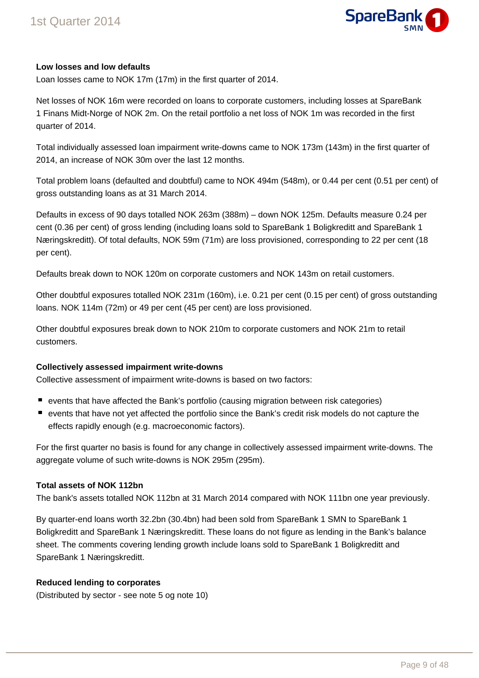

### **Low losses and low defaults**

Loan losses came to NOK 17m (17m) in the first quarter of 2014.

Net losses of NOK 16m were recorded on loans to corporate customers, including losses at SpareBank 1 Finans Midt-Norge of NOK 2m. On the retail portfolio a net loss of NOK 1m was recorded in the first quarter of 2014.

Total individually assessed loan impairment write-downs came to NOK 173m (143m) in the first quarter of 2014, an increase of NOK 30m over the last 12 months.

Total problem loans (defaulted and doubtful) came to NOK 494m (548m), or 0.44 per cent (0.51 per cent) of gross outstanding loans as at 31 March 2014.

Defaults in excess of 90 days totalled NOK 263m (388m) – down NOK 125m. Defaults measure 0.24 per cent (0.36 per cent) of gross lending (including loans sold to SpareBank 1 Boligkreditt and SpareBank 1 Næringskreditt). Of total defaults, NOK 59m (71m) are loss provisioned, corresponding to 22 per cent (18 per cent).

Defaults break down to NOK 120m on corporate customers and NOK 143m on retail customers.

Other doubtful exposures totalled NOK 231m (160m), i.e. 0.21 per cent (0.15 per cent) of gross outstanding loans. NOK 114m (72m) or 49 per cent (45 per cent) are loss provisioned.

Other doubtful exposures break down to NOK 210m to corporate customers and NOK 21m to retail customers.

### **Collectively assessed impairment write-downs**

Collective assessment of impairment write-downs is based on two factors:

- events that have affected the Bank's portfolio (causing migration between risk categories)
- events that have not yet affected the portfolio since the Bank's credit risk models do not capture the effects rapidly enough (e.g. macroeconomic factors).

For the first quarter no basis is found for any change in collectively assessed impairment write-downs. The aggregate volume of such write-downs is NOK 295m (295m).

### **Total assets of NOK 112bn**

The bank's assets totalled NOK 112bn at 31 March 2014 compared with NOK 111bn one year previously.

By quarter-end loans worth 32.2bn (30.4bn) had been sold from SpareBank 1 SMN to SpareBank 1 Boligkreditt and SpareBank 1 Næringskreditt. These loans do not figure as lending in the Bank's balance sheet. The comments covering lending growth include loans sold to SpareBank 1 Boligkreditt and SpareBank 1 Næringskreditt.

### **Reduced lending to corporates**

(Distributed by sector - see note 5 og note 10)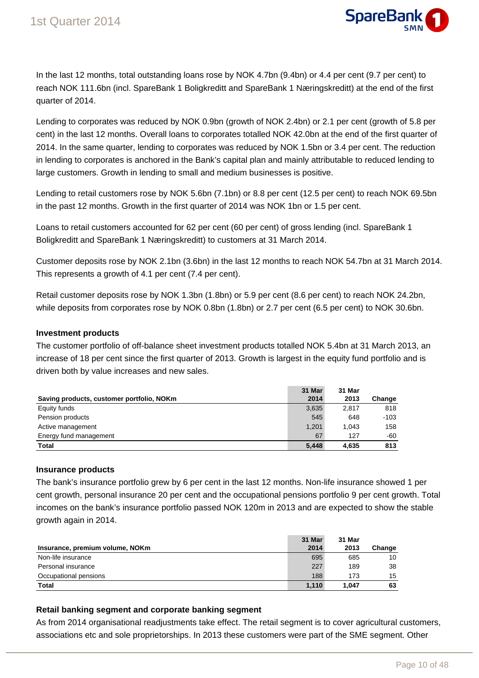

In the last 12 months, total outstanding loans rose by NOK 4.7bn (9.4bn) or 4.4 per cent (9.7 per cent) to reach NOK 111.6bn (incl. SpareBank 1 Boligkreditt and SpareBank 1 Næringskreditt) at the end of the first quarter of 2014.

Lending to corporates was reduced by NOK 0.9bn (growth of NOK 2.4bn) or 2.1 per cent (growth of 5.8 per cent) in the last 12 months. Overall loans to corporates totalled NOK 42.0bn at the end of the first quarter of 2014. In the same quarter, lending to corporates was reduced by NOK 1.5bn or 3.4 per cent. The reduction in lending to corporates is anchored in the Bank's capital plan and mainly attributable to reduced lending to large customers. Growth in lending to small and medium businesses is positive.

Lending to retail customers rose by NOK 5.6bn (7.1bn) or 8.8 per cent (12.5 per cent) to reach NOK 69.5bn in the past 12 months. Growth in the first quarter of 2014 was NOK 1bn or 1.5 per cent.

Loans to retail customers accounted for 62 per cent (60 per cent) of gross lending (incl. SpareBank 1 Boligkreditt and SpareBank 1 Næringskreditt) to customers at 31 March 2014.

Customer deposits rose by NOK 2.1bn (3.6bn) in the last 12 months to reach NOK 54.7bn at 31 March 2014. This represents a growth of 4.1 per cent (7.4 per cent).

Retail customer deposits rose by NOK 1.3bn (1.8bn) or 5.9 per cent (8.6 per cent) to reach NOK 24.2bn, while deposits from corporates rose by NOK 0.8bn (1.8bn) or 2.7 per cent (6.5 per cent) to NOK 30.6bn.

### **Investment products**

The customer portfolio of off-balance sheet investment products totalled NOK 5.4bn at 31 March 2013, an increase of 18 per cent since the first quarter of 2013. Growth is largest in the equity fund portfolio and is driven both by value increases and new sales.

|                                           | 31 Mar | 31 Mar |        |
|-------------------------------------------|--------|--------|--------|
| Saving products, customer portfolio, NOKm | 2014   | 2013   | Change |
| Equity funds                              | 3,635  | 2.817  | 818    |
| Pension products                          | 545    | 648    | $-103$ |
| Active management                         | 1.201  | 1.043  | 158    |
| Energy fund management                    | 67     | 127    | -60    |
| <b>Total</b>                              | 5.448  | 4.635  | 813    |

### **Insurance products**

The bank's insurance portfolio grew by 6 per cent in the last 12 months. Non-life insurance showed 1 per cent growth, personal insurance 20 per cent and the occupational pensions portfolio 9 per cent growth. Total incomes on the bank's insurance portfolio passed NOK 120m in 2013 and are expected to show the stable growth again in 2014.

| Insurance, premium volume, NOKm | 31 Mar<br>2014 | 31 Mar<br>2013 | Change |
|---------------------------------|----------------|----------------|--------|
| Non-life insurance              | 695            | 685            | 10     |
| Personal insurance              | 227            | 189            | 38     |
| Occupational pensions           | 188            | 173            | 15     |
| <b>Total</b>                    | 1.110          | 1.047          | 63     |

### **Retail banking segment and corporate banking segment**

As from 2014 organisational readjustments take effect. The retail segment is to cover agricultural customers, associations etc and sole proprietorships. In 2013 these customers were part of the SME segment. Other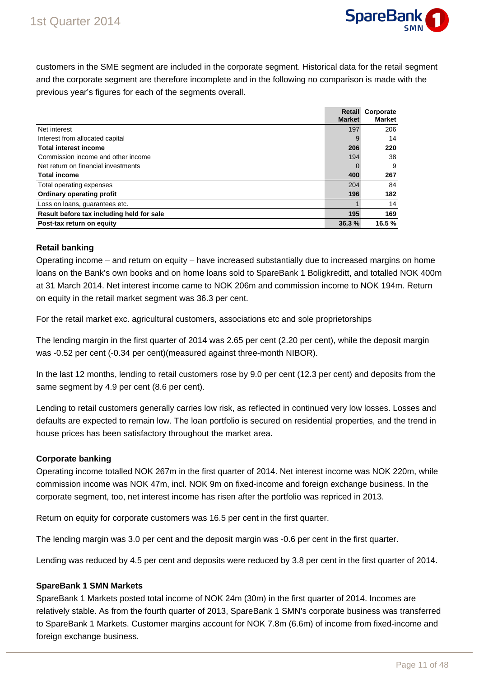

customers in the SME segment are included in the corporate segment. Historical data for the retail segment and the corporate segment are therefore incomplete and in the following no comparison is made with the previous year's figures for each of the segments overall.

|                                           |               | <b>Retail Corporate</b> |
|-------------------------------------------|---------------|-------------------------|
|                                           | <b>Market</b> | <b>Market</b>           |
| Net interest                              | 197           | 206                     |
| Interest from allocated capital           | 9             | 14                      |
| <b>Total interest income</b>              | 206           | 220                     |
| Commission income and other income        | 194           | 38                      |
| Net return on financial investments       | 0             | 9                       |
| <b>Total income</b>                       | 400           | 267                     |
| Total operating expenses                  | 204           | 84                      |
| <b>Ordinary operating profit</b>          | 196           | 182                     |
| Loss on loans, guarantees etc.            |               | 14                      |
| Result before tax including held for sale | 195           | 169                     |
| Post-tax return on equity                 | 36.3%         | 16.5%                   |

### **Retail banking**

Operating income – and return on equity – have increased substantially due to increased margins on home loans on the Bank's own books and on home loans sold to SpareBank 1 Boligkreditt, and totalled NOK 400m at 31 March 2014. Net interest income came to NOK 206m and commission income to NOK 194m. Return on equity in the retail market segment was 36.3 per cent.

For the retail market exc. agricultural customers, associations etc and sole proprietorships

The lending margin in the first quarter of 2014 was 2.65 per cent (2.20 per cent), while the deposit margin was -0.52 per cent (-0.34 per cent)(measured against three-month NIBOR).

In the last 12 months, lending to retail customers rose by 9.0 per cent (12.3 per cent) and deposits from the same segment by 4.9 per cent (8.6 per cent).

Lending to retail customers generally carries low risk, as reflected in continued very low losses. Losses and defaults are expected to remain low. The loan portfolio is secured on residential properties, and the trend in house prices has been satisfactory throughout the market area.

### **Corporate banking**

Operating income totalled NOK 267m in the first quarter of 2014. Net interest income was NOK 220m, while commission income was NOK 47m, incl. NOK 9m on fixed-income and foreign exchange business. In the corporate segment, too, net interest income has risen after the portfolio was repriced in 2013.

Return on equity for corporate customers was 16.5 per cent in the first quarter.

The lending margin was 3.0 per cent and the deposit margin was -0.6 per cent in the first quarter.

Lending was reduced by 4.5 per cent and deposits were reduced by 3.8 per cent in the first quarter of 2014.

### **SpareBank 1 SMN Markets**

SpareBank 1 Markets posted total income of NOK 24m (30m) in the first quarter of 2014. Incomes are relatively stable. As from the fourth quarter of 2013, SpareBank 1 SMN's corporate business was transferred to SpareBank 1 Markets. Customer margins account for NOK 7.8m (6.6m) of income from fixed-income and foreign exchange business.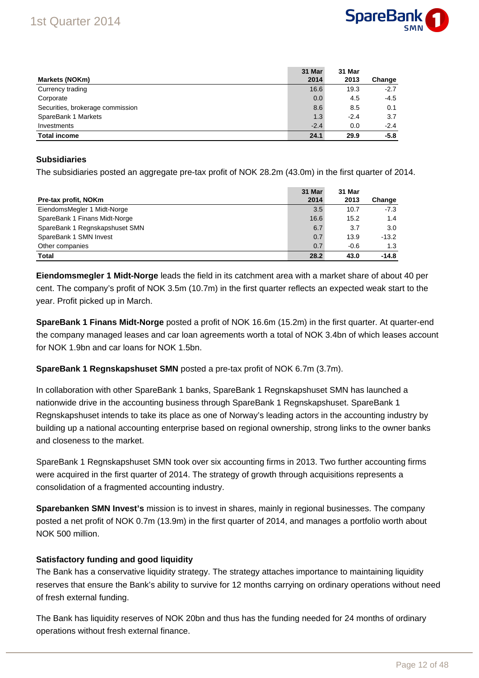

|                                  | 31 Mar | 31 Mar |        |
|----------------------------------|--------|--------|--------|
| Markets (NOKm)                   | 2014   | 2013   | Change |
| Currency trading                 | 16.6   | 19.3   | $-2.7$ |
| Corporate                        | 0.0    | 4.5    | $-4.5$ |
| Securities, brokerage commission | 8.6    | 8.5    | 0.1    |
| SpareBank 1 Markets              | 1.3    | $-2.4$ | 3.7    |
| Investments                      | $-2.4$ | 0.0    | $-2.4$ |
| <b>Total income</b>              | 24.1   | 29.9   | $-5.8$ |

### **Subsidiaries**

The subsidiaries posted an aggregate pre-tax profit of NOK 28.2m (43.0m) in the first quarter of 2014.

| Pre-tax profit, NOKm           | 31 Mar<br>2014 | 31 Mar<br>2013 | Change  |
|--------------------------------|----------------|----------------|---------|
| EiendomsMegler 1 Midt-Norge    | 3.5            | 10.7           | $-7.3$  |
| SpareBank 1 Finans Midt-Norge  | 16.6           | 15.2           | 1.4     |
| SpareBank 1 Regnskapshuset SMN | 6.7            | 3.7            | 3.0     |
| SpareBank 1 SMN Invest         | 0.7            | 13.9           | $-13.2$ |
| Other companies                | 0.7            | $-0.6$         | 1.3     |
| <b>Total</b>                   | 28.2           | 43.0           | $-14.8$ |

**Eiendomsmegler 1 Midt-Norge** leads the field in its catchment area with a market share of about 40 per cent. The company's profit of NOK 3.5m (10.7m) in the first quarter reflects an expected weak start to the year. Profit picked up in March.

**SpareBank 1 Finans Midt-Norge** posted a profit of NOK 16.6m (15.2m) in the first quarter. At quarter-end the company managed leases and car loan agreements worth a total of NOK 3.4bn of which leases account for NOK 1.9bn and car loans for NOK 1.5bn.

**SpareBank 1 Regnskapshuset SMN** posted a pre-tax profit of NOK 6.7m (3.7m).

In collaboration with other SpareBank 1 banks, SpareBank 1 Regnskapshuset SMN has launched a nationwide drive in the accounting business through SpareBank 1 Regnskapshuset. SpareBank 1 Regnskapshuset intends to take its place as one of Norway's leading actors in the accounting industry by building up a national accounting enterprise based on regional ownership, strong links to the owner banks and closeness to the market.

SpareBank 1 Regnskapshuset SMN took over six accounting firms in 2013. Two further accounting firms were acquired in the first quarter of 2014. The strategy of growth through acquisitions represents a consolidation of a fragmented accounting industry.

**Sparebanken SMN Invest's** mission is to invest in shares, mainly in regional businesses. The company posted a net profit of NOK 0.7m (13.9m) in the first quarter of 2014, and manages a portfolio worth about NOK 500 million.

### **Satisfactory funding and good liquidity**

The Bank has a conservative liquidity strategy. The strategy attaches importance to maintaining liquidity reserves that ensure the Bank's ability to survive for 12 months carrying on ordinary operations without need of fresh external funding.

The Bank has liquidity reserves of NOK 20bn and thus has the funding needed for 24 months of ordinary operations without fresh external finance.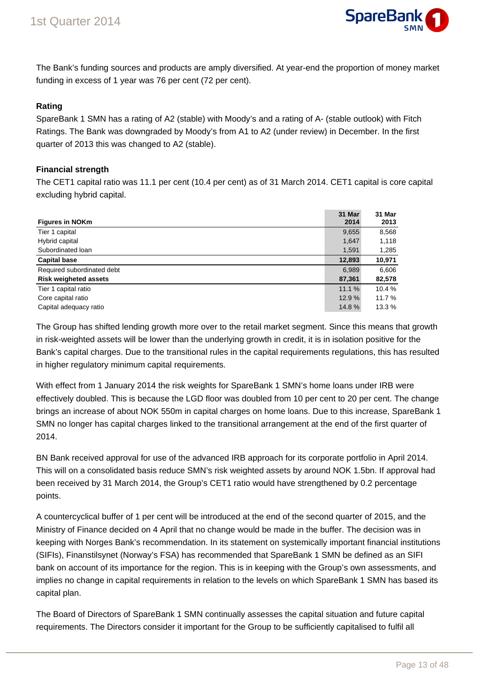

The Bank's funding sources and products are amply diversified. At year-end the proportion of money market funding in excess of 1 year was 76 per cent (72 per cent).

### **Rating**

SpareBank 1 SMN has a rating of A2 (stable) with Moody's and a rating of A- (stable outlook) with Fitch Ratings. The Bank was downgraded by Moody's from A1 to A2 (under review) in December. In the first quarter of 2013 this was changed to A2 (stable).

### **Financial strength**

The CET1 capital ratio was 11.1 per cent (10.4 per cent) as of 31 March 2014. CET1 capital is core capital excluding hybrid capital.

|                              | 31 Mar | 31 Mar |
|------------------------------|--------|--------|
| <b>Figures in NOKm</b>       | 2014   | 2013   |
| Tier 1 capital               | 9,655  | 8,568  |
| Hybrid capital               | 1,647  | 1,118  |
| Subordinated loan            | 1,591  | 1,285  |
| <b>Capital base</b>          | 12,893 | 10,971 |
| Required subordinated debt   | 6,989  | 6,606  |
| <b>Risk weigheted assets</b> | 87,361 | 82,578 |
| Tier 1 capital ratio         | 11.1%  | 10.4 % |
| Core capital ratio           | 12.9 % | 11.7 % |
| Capital adequacy ratio       | 14.8%  | 13.3 % |

The Group has shifted lending growth more over to the retail market segment. Since this means that growth in risk-weighted assets will be lower than the underlying growth in credit, it is in isolation positive for the Bank's capital charges. Due to the transitional rules in the capital requirements regulations, this has resulted in higher regulatory minimum capital requirements.

With effect from 1 January 2014 the risk weights for SpareBank 1 SMN's home loans under IRB were effectively doubled. This is because the LGD floor was doubled from 10 per cent to 20 per cent. The change brings an increase of about NOK 550m in capital charges on home loans. Due to this increase, SpareBank 1 SMN no longer has capital charges linked to the transitional arrangement at the end of the first quarter of 2014.

BN Bank received approval for use of the advanced IRB approach for its corporate portfolio in April 2014. This will on a consolidated basis reduce SMN's risk weighted assets by around NOK 1.5bn. If approval had been received by 31 March 2014, the Group's CET1 ratio would have strengthened by 0.2 percentage points.

A countercyclical buffer of 1 per cent will be introduced at the end of the second quarter of 2015, and the Ministry of Finance decided on 4 April that no change would be made in the buffer. The decision was in keeping with Norges Bank's recommendation. In its statement on systemically important financial institutions (SIFIs), Finanstilsynet (Norway's FSA) has recommended that SpareBank 1 SMN be defined as an SIFI bank on account of its importance for the region. This is in keeping with the Group's own assessments, and implies no change in capital requirements in relation to the levels on which SpareBank 1 SMN has based its capital plan.

The Board of Directors of SpareBank 1 SMN continually assesses the capital situation and future capital requirements. The Directors consider it important for the Group to be sufficiently capitalised to fulfil all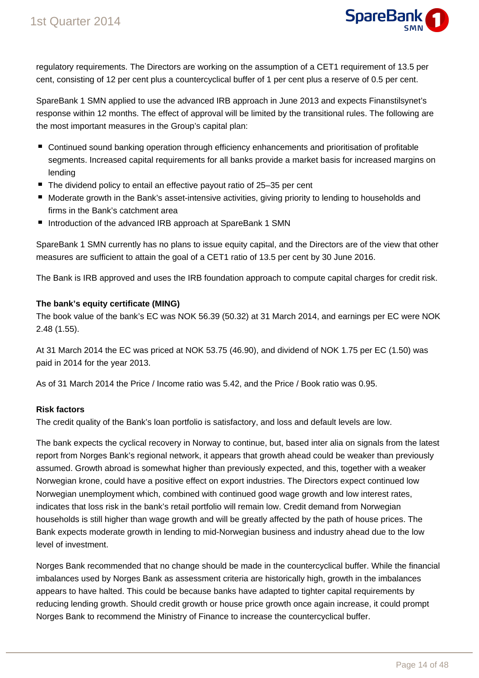

regulatory requirements. The Directors are working on the assumption of a CET1 requirement of 13.5 per cent, consisting of 12 per cent plus a countercyclical buffer of 1 per cent plus a reserve of 0.5 per cent.

SpareBank 1 SMN applied to use the advanced IRB approach in June 2013 and expects Finanstilsynet's response within 12 months. The effect of approval will be limited by the transitional rules. The following are the most important measures in the Group's capital plan:

- Continued sound banking operation through efficiency enhancements and prioritisation of profitable segments. Increased capital requirements for all banks provide a market basis for increased margins on lending
- The dividend policy to entail an effective payout ratio of 25–35 per cent
- Moderate growth in the Bank's asset-intensive activities, giving priority to lending to households and firms in the Bank's catchment area
- Introduction of the advanced IRB approach at SpareBank 1 SMN

SpareBank 1 SMN currently has no plans to issue equity capital, and the Directors are of the view that other measures are sufficient to attain the goal of a CET1 ratio of 13.5 per cent by 30 June 2016.

The Bank is IRB approved and uses the IRB foundation approach to compute capital charges for credit risk.

### **The bank's equity certificate (MING)**

The book value of the bank's EC was NOK 56.39 (50.32) at 31 March 2014, and earnings per EC were NOK 2.48 (1.55).

At 31 March 2014 the EC was priced at NOK 53.75 (46.90), and dividend of NOK 1.75 per EC (1.50) was paid in 2014 for the year 2013.

As of 31 March 2014 the Price / Income ratio was 5.42, and the Price / Book ratio was 0.95.

### **Risk factors**

The credit quality of the Bank's loan portfolio is satisfactory, and loss and default levels are low.

The bank expects the cyclical recovery in Norway to continue, but, based inter alia on signals from the latest report from Norges Bank's regional network, it appears that growth ahead could be weaker than previously assumed. Growth abroad is somewhat higher than previously expected, and this, together with a weaker Norwegian krone, could have a positive effect on export industries. The Directors expect continued low Norwegian unemployment which, combined with continued good wage growth and low interest rates, indicates that loss risk in the bank's retail portfolio will remain low. Credit demand from Norwegian households is still higher than wage growth and will be greatly affected by the path of house prices. The Bank expects moderate growth in lending to mid-Norwegian business and industry ahead due to the low level of investment.

Norges Bank recommended that no change should be made in the countercyclical buffer. While the financial imbalances used by Norges Bank as assessment criteria are historically high, growth in the imbalances appears to have halted. This could be because banks have adapted to tighter capital requirements by reducing lending growth. Should credit growth or house price growth once again increase, it could prompt Norges Bank to recommend the Ministry of Finance to increase the countercyclical buffer.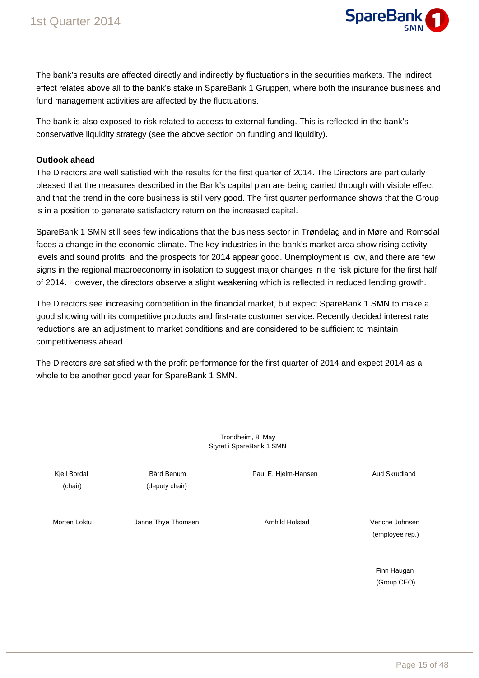

The bank's results are affected directly and indirectly by fluctuations in the securities markets. The indirect effect relates above all to the bank's stake in SpareBank 1 Gruppen, where both the insurance business and fund management activities are affected by the fluctuations.

The bank is also exposed to risk related to access to external funding. This is reflected in the bank's conservative liquidity strategy (see the above section on funding and liquidity).

#### **Outlook ahead**

The Directors are well satisfied with the results for the first quarter of 2014. The Directors are particularly pleased that the measures described in the Bank's capital plan are being carried through with visible effect and that the trend in the core business is still very good. The first quarter performance shows that the Group is in a position to generate satisfactory return on the increased capital.

SpareBank 1 SMN still sees few indications that the business sector in Trøndelag and in Møre and Romsdal faces a change in the economic climate. The key industries in the bank's market area show rising activity levels and sound profits, and the prospects for 2014 appear good. Unemployment is low, and there are few signs in the regional macroeconomy in isolation to suggest major changes in the risk picture for the first half of 2014. However, the directors observe a slight weakening which is reflected in reduced lending growth.

The Directors see increasing competition in the financial market, but expect SpareBank 1 SMN to make a good showing with its competitive products and first-rate customer service. Recently decided interest rate reductions are an adjustment to market conditions and are considered to be sufficient to maintain competitiveness ahead.

The Directors are satisfied with the profit performance for the first quarter of 2014 and expect 2014 as a whole to be another good year for SpareBank 1 SMN.

| Kjell Bordal<br>(chair) | Bård Benum<br>(deputy chair) | Paul E. Hjelm-Hansen   | Aud Skrudland                     |
|-------------------------|------------------------------|------------------------|-----------------------------------|
| Morten Loktu            | Janne Thyø Thomsen           | <b>Arnhild Holstad</b> | Venche Johnsen<br>(employee rep.) |

Finn Haugan (Group CEO)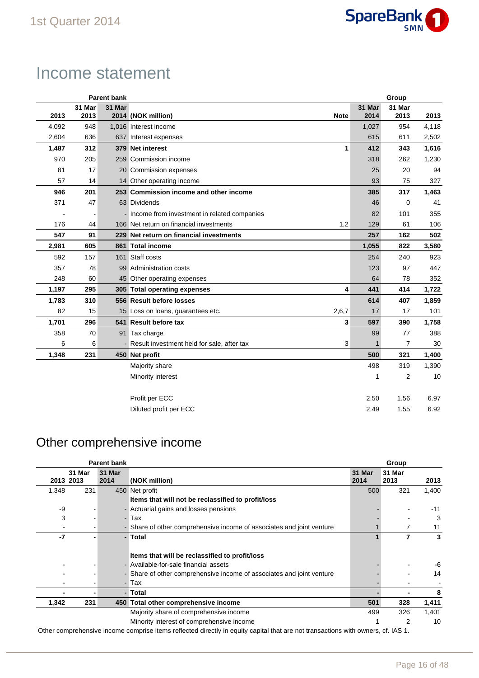

# Income statement

|       |        | <b>Parent bank</b> |                                               |              |        | Group          |       |
|-------|--------|--------------------|-----------------------------------------------|--------------|--------|----------------|-------|
|       | 31 Mar | 31 Mar             |                                               |              | 31 Mar | 31 Mar         |       |
| 2013  | 2013   |                    | 2014 (NOK million)                            | <b>Note</b>  | 2014   | 2013           | 2013  |
| 4,092 | 948    |                    | 1,016 Interest income                         |              | 1,027  | 954            | 4,118 |
| 2,604 | 636    |                    | 637 Interest expenses                         |              | 615    | 611            | 2,502 |
| 1,487 | 312    |                    | 379 Net interest                              | $\mathbf{1}$ | 412    | 343            | 1,616 |
| 970   | 205    |                    | 259 Commission income                         |              | 318    | 262            | 1,230 |
| 81    | 17     |                    | 20 Commission expenses                        |              | 25     | 20             | 94    |
| 57    | 14     |                    | 14 Other operating income                     |              | 93     | 75             | 327   |
| 946   | 201    |                    | 253 Commission income and other income        |              | 385    | 317            | 1,463 |
| 371   | 47     |                    | 63 Dividends                                  |              | 46     | 0              | 41    |
|       |        |                    | - Income from investment in related companies |              | 82     | 101            | 355   |
| 176   | 44     |                    | 166 Net return on financial investments       | 1,2          | 129    | 61             | 106   |
| 547   | 91     |                    | 229 Net return on financial investments       |              | 257    | 162            | 502   |
| 2,981 | 605    |                    | 861 Total income                              |              | 1,055  | 822            | 3,580 |
| 592   | 157    |                    | 161 Staff costs                               |              | 254    | 240            | 923   |
| 357   | 78     |                    | 99 Administration costs                       |              | 123    | 97             | 447   |
| 248   | 60     |                    | 45 Other operating expenses                   |              | 64     | 78             | 352   |
| 1,197 | 295    |                    | 305 Total operating expenses                  | 4            | 441    | 414            | 1,722 |
| 1,783 | 310    |                    | 556 Result before losses                      |              | 614    | 407            | 1,859 |
| 82    | 15     |                    | 15 Loss on loans, guarantees etc.             | 2,6,7        | 17     | 17             | 101   |
| 1,701 | 296    |                    | 541 Result before tax                         | 3            | 597    | 390            | 1,758 |
| 358   | 70     |                    | 91 Tax charge                                 |              | 99     | 77             | 388   |
| 6     | 6      |                    | - Result investment held for sale, after tax  | 3            |        | 7              | 30    |
| 1,348 | 231    |                    | 450 Net profit                                |              | 500    | 321            | 1,400 |
|       |        |                    | Majority share                                |              | 498    | 319            | 1,390 |
|       |        |                    | Minority interest                             |              | 1      | $\overline{2}$ | 10    |
|       |        |                    | Profit per ECC                                |              | 2.50   | 1.56           | 6.97  |
|       |        |                    | Diluted profit per ECC                        |              | 2.49   | 1.55           | 6.92  |

### Other comprehensive income

|       |           | <b>Parent bank</b>       |                                                                       |               | Group  |       |
|-------|-----------|--------------------------|-----------------------------------------------------------------------|---------------|--------|-------|
|       | 31 Mar    | 31 Mar                   |                                                                       | <b>31 Mar</b> | 31 Mar |       |
|       | 2013 2013 | 2014                     | (NOK million)                                                         | 2014          | 2013   | 2013  |
| 1,348 | 231       |                          | 450 Net profit                                                        | 500           | 321    | 1,400 |
|       |           |                          | Items that will not be reclassified to profit/loss                    |               |        |       |
| -9    |           |                          | - Actuarial gains and losses pensions                                 |               |        | $-11$ |
| 3     |           | $\overline{\phantom{0}}$ | Tax                                                                   |               |        | 3     |
|       |           |                          | - Share of other comprehensive income of associates and joint venture |               |        | 11    |
| -7    |           |                          | - Total                                                               |               | 7      | 3     |
|       |           |                          |                                                                       |               |        |       |
|       |           |                          | Items that will be reclassified to profit/loss                        |               |        |       |
|       |           |                          | - Available-for-sale financial assets                                 |               |        | -6    |
|       |           |                          | - Share of other comprehensive income of associates and joint venture |               |        | 14    |
|       |           | $\overline{\phantom{0}}$ | Tax                                                                   |               |        |       |
|       |           |                          | Total                                                                 |               |        | 8     |
| 1,342 | 231       |                          | 450 Total other comprehensive income                                  | 501           | 328    | 1,411 |
|       |           |                          | Majority share of comprehensive income                                | 499           | 326    | 1,401 |
|       |           |                          | Minority interest of comprehensive income                             |               | 2      | 10    |

Other comprehensive income comprise items reflected directly in equity capital that are not transactions with owners, cf. IAS 1.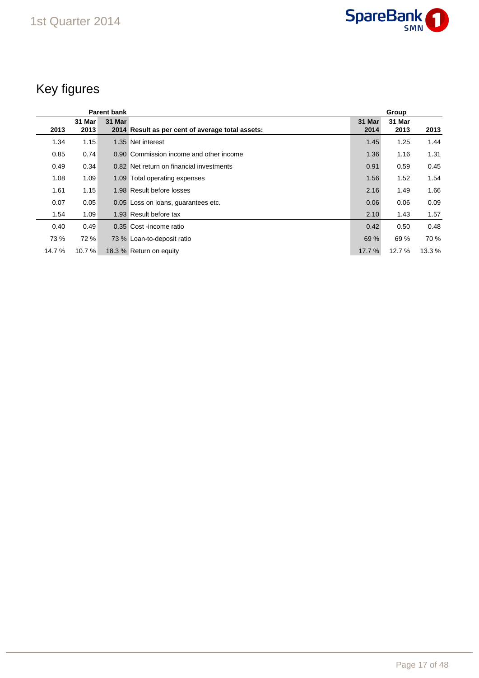

# Key figures

| <b>Parent bank</b> |                |        |                                                  |                |                |        |
|--------------------|----------------|--------|--------------------------------------------------|----------------|----------------|--------|
| 2013               | 31 Mar<br>2013 | 31 Mar | 2014 Result as per cent of average total assets: | 31 Mar<br>2014 | 31 Mar<br>2013 | 2013   |
| 1.34               | 1.15           |        | 1.35 Net interest                                | 1.45           | 1.25           | 1.44   |
| 0.85               | 0.74           |        | 0.90 Commission income and other income          | 1.36           | 1.16           | 1.31   |
| 0.49               | 0.34           |        | 0.82 Net return on financial investments         | 0.91           | 0.59           | 0.45   |
| 1.08               | 1.09           |        | 1.09 Total operating expenses                    | 1.56           | 1.52           | 1.54   |
| 1.61               | 1.15           |        | 1.98 Result before losses                        | 2.16           | 1.49           | 1.66   |
| 0.07               | 0.05           |        | 0.05 Loss on loans, quarantees etc.              | 0.06           | 0.06           | 0.09   |
| 1.54               | 1.09           |        | 1.93 Result before tax                           | 2.10           | 1.43           | 1.57   |
| 0.40               | 0.49           |        | 0.35 Cost-income ratio                           | 0.42           | 0.50           | 0.48   |
| 73 %               | 72 %           |        | 73 % Loan-to-deposit ratio                       | 69 %           | 69 %           | 70 %   |
| 14.7 %             | 10.7 %         |        | 18.3 % Return on equity                          | 17.7 %         | 12.7 %         | 13.3 % |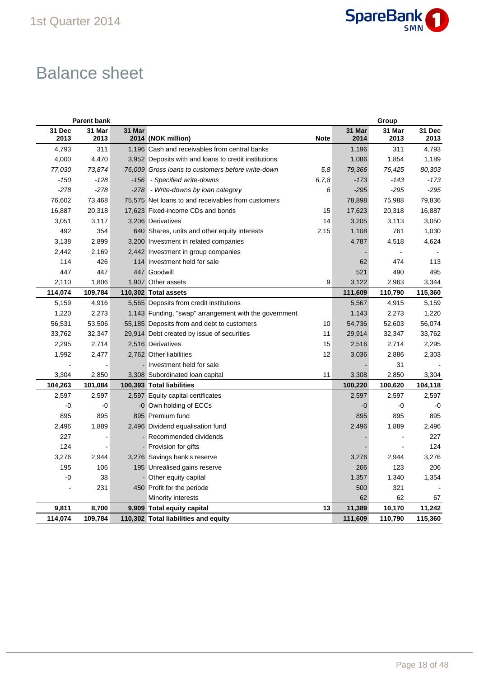

# Balance sheet

|                | <b>Parent bank</b> |        |                                                       |             |                | Group          |                |
|----------------|--------------------|--------|-------------------------------------------------------|-------------|----------------|----------------|----------------|
| 31 Dec<br>2013 | 31 Mar<br>2013     | 31 Mar | 2014 (NOK million)                                    | <b>Note</b> | 31 Mar<br>2014 | 31 Mar<br>2013 | 31 Dec<br>2013 |
| 4,793          | 311                |        | 1,196 Cash and receivables from central banks         |             | 1,196          | 311            | 4,793          |
| 4,000          | 4,470              |        | 3,952 Deposits with and loans to credit institutions  |             | 1,086          | 1,854          | 1,189          |
| 77,030         | 73,874             |        | 76,009 Gross loans to customers before write-down     | 5,8         | 79,366         | 76,425         | 80,303         |
| $-150$         | $-128$             |        | -156 - Specified write-downs                          | 6, 7, 8     | $-173$         | $-143$         | $-173$         |
| $-278$         | $-278$             |        | -278 - Write-downs by loan category                   | 6           | $-295$         | $-295$         | $-295$         |
| 76,602         | 73,468             |        | 75,575 Net loans to and receivables from customers    |             | 78,898         | 75,988         | 79,836         |
| 16,887         | 20,318             |        | 17,623 Fixed-income CDs and bonds                     | 15          | 17,623         | 20,318         | 16,887         |
| 3,051          | 3,117              |        | 3,206 Derivatives                                     | 14          | 3,205          | 3,113          | 3,050          |
| 492            | 354                |        | 640 Shares, units and other equity interests          | 2,15        | 1,108          | 761            | 1,030          |
| 3,138          | 2,899              |        | 3,200 Investment in related companies                 |             | 4,787          | 4,518          | 4,624          |
| 2,442          | 2,169              |        | 2,442 Investment in group companies                   |             |                |                |                |
| 114            | 426                |        | 114 Investment held for sale                          |             | 62             | 474            | 113            |
| 447            | 447                |        | 447 Goodwill                                          |             | 521            | 490            | 495            |
| 2,110          | 1,806              |        | 1,907 Other assets                                    | 9           | 3,122          | 2,963          | 3,344          |
| 114,074        | 109,784            |        | 110,302 Total assets                                  |             | 111,609        | 110,790        | 115,360        |
| 5,159          | 4,916              |        | 5,565 Deposits from credit institutions               |             | 5,567          | 4,915          | 5,159          |
| 1,220          | 2,273              |        | 1,143 Funding, "swap" arrangement with the government |             | 1,143          | 2,273          | 1,220          |
| 56,531         | 53,506             |        | 55,185 Deposits from and debt to customers            | 10          | 54,736         | 52,603         | 56,074         |
| 33,762         | 32,347             |        | 29,914 Debt created by issue of securities            | 11          | 29,914         | 32,347         | 33,762         |
| 2,295          | 2,714              |        | 2,516 Derivatives                                     | 15          | 2,516          | 2,714          | 2,295          |
| 1,992          | 2,477              |        | 2,762 Other liabilities                               | 12          | 3,036          | 2,886          | 2,303          |
|                |                    |        | - Investment held for sale                            |             |                | 31             |                |
| 3,304          | 2,850              |        | 3,308 Subordinated loan capital                       | 11          | 3,308          | 2,850          | 3,304          |
| 104,263        | 101,084            |        | 100,393 Total liabilities                             |             | 100,220        | 100,620        | 104,118        |
| 2,597          | 2,597              |        | 2,597 Equity capital certificates                     |             | 2,597          | 2,597          | 2,597          |
| -0             | -0                 |        | -0 Own holding of ECCs                                |             | -0             | -0             | -0             |
| 895            | 895                |        | 895 Premium fund                                      |             | 895            | 895            | 895            |
| 2,496          | 1,889              |        | 2,496 Dividend equalisation fund                      |             | 2,496          | 1,889          | 2,496          |
| 227            |                    |        | Recommended dividends                                 |             |                |                | 227            |
| 124            |                    |        | - Provision for gifts                                 |             |                |                | 124            |
| 3,276          | 2,944              |        | 3,276 Savings bank's reserve                          |             | 3,276          | 2,944          | 3,276          |
| 195            | 106                |        | 195 Unrealised gains reserve                          |             | 206            | 123            | 206            |
| -0             | 38                 |        | Other equity capital                                  |             | 1,357          | 1,340          | 1,354          |
|                | 231                |        | 450 Profit for the periode                            |             | 500            | 321            |                |
|                |                    |        | Minority interests                                    |             | 62             | 62             | 67             |
| 9,811          | 8,700              |        | 9,909 Total equity capital                            | 13          | 11,389         | 10,170         | 11,242         |
| 114,074        | 109,784            |        | 110,302 Total liabilities and equity                  |             | 111,609        | 110,790        | 115,360        |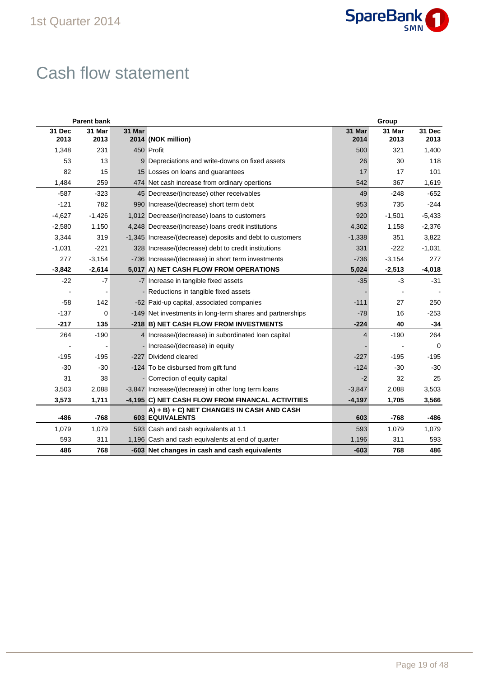

# Cash flow statement

| <b>Parent bank</b> |                |        |                                                                     |                | Group          |                |  |  |  |
|--------------------|----------------|--------|---------------------------------------------------------------------|----------------|----------------|----------------|--|--|--|
| 31 Dec<br>2013     | 31 Mar<br>2013 | 31 Mar | 2014 (NOK million)                                                  | 31 Mar<br>2014 | 31 Mar<br>2013 | 31 Dec<br>2013 |  |  |  |
| 1,348              | 231            |        | 450 Profit                                                          | 500            | 321            | 1,400          |  |  |  |
| 53                 | 13             |        | 9 Depreciations and write-downs on fixed assets                     | 26             | 30             | 118            |  |  |  |
| 82                 | 15             |        | 15 Losses on loans and guarantees                                   | 17             | 17             | 101            |  |  |  |
| 1,484              | 259            |        | 474 Net cash increase from ordinary opertions                       | 542            | 367            | 1,619          |  |  |  |
| $-587$             | $-323$         |        | 45 Decrease/(increase) other receivables                            | 49             | $-248$         | $-652$         |  |  |  |
| $-121$             | 782            |        | 990 Increase/(decrease) short term debt                             | 953            | 735            | $-244$         |  |  |  |
| $-4,627$           | $-1,426$       |        | 1,012 Decrease/(increase) loans to customers                        | 920            | $-1,501$       | $-5,433$       |  |  |  |
| $-2,580$           | 1,150          |        | 4,248 Decrease/(increase) loans credit institutions                 | 4,302          | 1,158          | $-2,376$       |  |  |  |
| 3,344              | 319            |        | -1,345 Increase/(decrease) deposits and debt to customers           | $-1,338$       | 351            | 3,822          |  |  |  |
| $-1,031$           | $-221$         |        | 328 Increase/(decrease) debt to credit institutions                 | 331            | $-222$         | $-1,031$       |  |  |  |
| 277                | $-3,154$       |        | -736 Increase/(decrease) in short term investments                  | $-736$         | $-3,154$       | 277            |  |  |  |
| $-3,842$           | $-2,614$       |        | 5,017 A) NET CASH FLOW FROM OPERATIONS                              | 5,024          | $-2,513$       | $-4,018$       |  |  |  |
| $-22$              | $-7$           |        | -7 Increase in tangible fixed assets                                | $-35$          | $-3$           | $-31$          |  |  |  |
|                    |                |        | - Reductions in tangible fixed assets                               |                |                |                |  |  |  |
| $-58$              | 142            |        | -62 Paid-up capital, associated companies                           | $-111$         | 27             | 250            |  |  |  |
| $-137$             | 0              |        | -149 Net investments in long-term shares and partnerships           | $-78$          | 16             | $-253$         |  |  |  |
| $-217$             | 135            |        | -218 B) NET CASH FLOW FROM INVESTMENTS                              | $-224$         | 40             | $-34$          |  |  |  |
| 264                | $-190$         |        | 4 Increase/(decrease) in subordinated loan capital                  | $\overline{4}$ | $-190$         | 264            |  |  |  |
|                    |                |        | - Increase/(decrease) in equity                                     |                |                | $\mathbf 0$    |  |  |  |
| $-195$             | $-195$         |        | -227 Dividend cleared                                               | $-227$         | $-195$         | $-195$         |  |  |  |
| $-30$              | $-30$          |        | -124 To be disbursed from gift fund                                 | $-124$         | -30            | $-30$          |  |  |  |
| 31                 | 38             |        | - Correction of equity capital                                      | $-2$           | 32             | 25             |  |  |  |
| 3,503              | 2,088          |        | -3,847 Increase/(decrease) in other long term loans                 | $-3,847$       | 2,088          | 3,503          |  |  |  |
| 3,573              | 1,711          |        | -4,195 C) NET CASH FLOW FROM FINANCAL ACTIVITIES                    | $-4,197$       | 1,705          | 3,566          |  |  |  |
| $-486$             | $-768$         |        | A) + B) + C) NET CHANGES IN CASH AND CASH<br><b>603 EQUIVALENTS</b> | 603            | $-768$         | $-486$         |  |  |  |
| 1,079              | 1,079          |        | 593 Cash and cash equivalents at 1.1                                | 593            | 1,079          | 1,079          |  |  |  |
| 593                | 311            |        | 1,196 Cash and cash equivalents at end of quarter                   | 1,196          | 311            | 593            |  |  |  |
| 486                | 768            |        | -603 Net changes in cash and cash equivalents                       | $-603$         | 768            | 486            |  |  |  |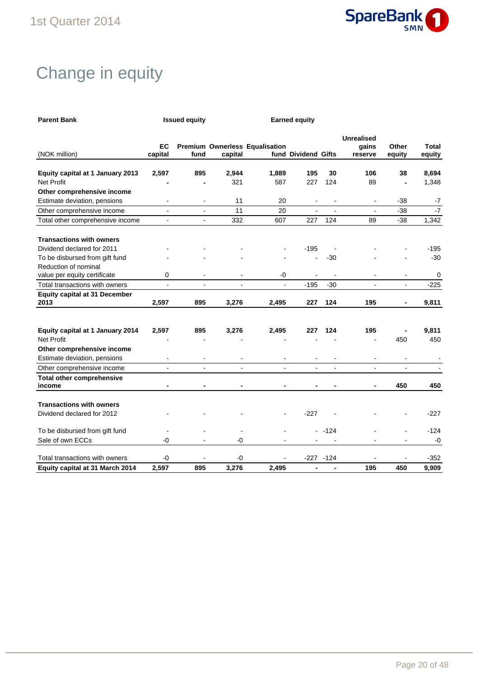

# Change in equity

| <b>Parent Bank</b>                           |                          | <b>Issued equity</b>     |                |                                | <b>Earned equity</b> |              |                                       |                          |                    |
|----------------------------------------------|--------------------------|--------------------------|----------------|--------------------------------|----------------------|--------------|---------------------------------------|--------------------------|--------------------|
| (NOK million)                                | EC<br>capital            | fund                     | capital        | Premium Ownerless Equalisation | fund Dividend Gifts  |              | <b>Unrealised</b><br>gains<br>reserve | Other<br>equity          | Total<br>equity    |
| Equity capital at 1 January 2013             | 2,597                    | 895                      | 2,944          | 1,889                          | 195                  | 30           | 106                                   | 38                       | 8,694              |
| <b>Net Profit</b>                            |                          |                          | 321            | 587                            | 227                  | 124          | 89                                    |                          | 1,348              |
| Other comprehensive income                   |                          |                          |                |                                |                      |              |                                       |                          |                    |
| Estimate deviation, pensions                 |                          |                          | 11             | 20                             |                      |              | $\overline{\phantom{a}}$              | $-38$                    | $-7$               |
| Other comprehensive income                   | $\blacksquare$           | $\blacksquare$           | 11             | 20                             |                      |              | $\overline{a}$                        | $-38$                    | $-7$               |
| Total other comprehensive income             | $\blacksquare$           | $\sim$                   | 332            | 607                            | 227                  | 124          | 89                                    | $-38$                    | $\overline{1,}342$ |
| <b>Transactions with owners</b>              |                          |                          |                |                                |                      |              |                                       |                          |                    |
| Dividend declared for 2011                   |                          |                          |                |                                | $-195$               |              |                                       |                          | $-195$             |
| To be disbursed from gift fund               |                          |                          |                |                                |                      | $-30$        |                                       |                          | $-30$              |
| Reduction of nominal                         |                          |                          |                |                                |                      |              |                                       |                          |                    |
| value per equity certificate                 | 0                        | $\overline{\phantom{a}}$ | $\blacksquare$ | -0                             |                      |              | $\overline{\phantom{a}}$              | $\overline{\phantom{a}}$ | 0                  |
| Total transactions with owners               | $\blacksquare$           | $\blacksquare$           | $\overline{a}$ | $\blacksquare$                 | $-195$               | $-30$        | $\overline{a}$                        | $\blacksquare$           | $-225$             |
| <b>Equity capital at 31 December</b><br>2013 | 2,597                    | 895                      | 3,276          | 2,495                          | 227                  | 124          | 195                                   |                          | 9,811              |
|                                              |                          |                          |                |                                |                      |              |                                       |                          |                    |
| Equity capital at 1 January 2014             | 2,597                    | 895                      | 3,276          | 2,495                          | 227                  | 124          | 195                                   |                          | 9,811              |
| <b>Net Profit</b>                            |                          |                          |                |                                |                      |              |                                       | 450                      | 450                |
| Other comprehensive income                   |                          |                          |                |                                |                      |              |                                       |                          |                    |
| Estimate deviation, pensions                 | $\overline{\phantom{a}}$ |                          |                |                                |                      |              |                                       |                          |                    |
| Other comprehensive income                   | $\overline{a}$           | ÷.                       |                |                                |                      |              | ÷.                                    |                          |                    |
| <b>Total other comprehensive</b><br>income   |                          |                          |                |                                |                      |              |                                       | 450                      | 450                |
|                                              |                          |                          |                |                                |                      |              |                                       |                          |                    |
| <b>Transactions with owners</b>              |                          |                          |                |                                |                      |              |                                       |                          |                    |
| Dividend declared for 2012                   |                          |                          |                |                                | $-227$               |              |                                       |                          | $-227$             |
| To be disbursed from gift fund               |                          |                          |                |                                |                      | $-124$       |                                       |                          | $-124$             |
| Sale of own ECCs                             | -0                       |                          | -0             |                                |                      |              |                                       |                          | -0                 |
| Total transactions with owners               | -0                       |                          | -0             |                                |                      | $-227 - 124$ |                                       |                          | $-352$             |
| Equity capital at 31 March 2014              | 2,597                    | 895                      | 3,276          | 2,495                          |                      |              | 195                                   | 450                      | 9,909              |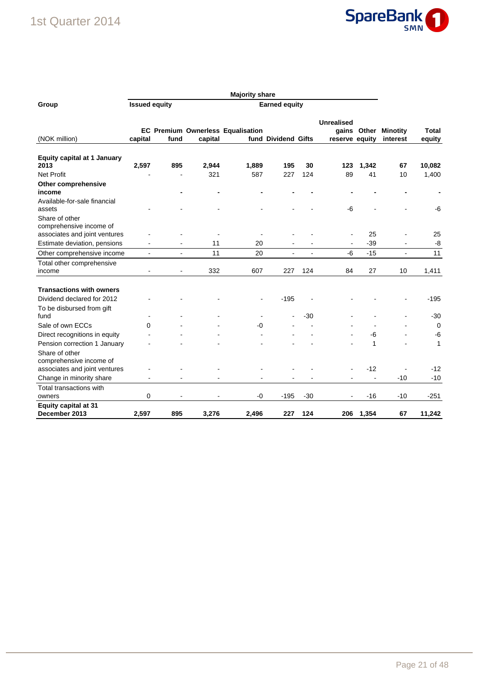### 1st Quarter 2014



| Group                                                                                      | <b>Issued equity</b> |                              |         |                                   |                     |                |                                     |                          |                             |                 |
|--------------------------------------------------------------------------------------------|----------------------|------------------------------|---------|-----------------------------------|---------------------|----------------|-------------------------------------|--------------------------|-----------------------------|-----------------|
| (NOK million)                                                                              | capital              | fund                         | capital | EC Premium Ownerless Equalisation | fund Dividend Gifts |                | <b>Unrealised</b><br>reserve equity | gains Other              | <b>Minotity</b><br>interest | Total<br>equity |
| <b>Equity capital at 1 January</b><br>2013                                                 | 2,597                | 895                          | 2,944   | 1,889                             | 195                 | 30             | 123                                 | 1,342                    | 67                          | 10,082          |
| <b>Net Profit</b>                                                                          |                      |                              | 321     | 587                               | 227                 | 124            | 89                                  | 41                       | 10                          | 1,400           |
| Other comprehensive<br>income                                                              |                      |                              |         |                                   |                     |                |                                     |                          |                             |                 |
| Available-for-sale financial<br>assets                                                     |                      |                              |         |                                   |                     |                | $-6$                                |                          |                             | $-6$            |
| Share of other<br>comprehensive income of                                                  |                      |                              |         |                                   |                     |                |                                     |                          |                             |                 |
| associates and joint ventures                                                              |                      |                              |         |                                   |                     |                |                                     | 25                       |                             | 25              |
| Estimate deviation, pensions                                                               |                      |                              | 11      | 20                                |                     |                |                                     | $-39$                    |                             | -8              |
| Other comprehensive income                                                                 | ÷,                   | ÷,                           | 11      | 20                                | $\overline{a}$      | $\overline{a}$ | $-6$                                | $-15$                    | $\overline{a}$              | 11              |
| Total other comprehensive<br>income                                                        |                      |                              | 332     | 607                               | 227                 | 124            | 84                                  | 27                       | 10                          | 1,411           |
| <b>Transactions with owners</b><br>Dividend declared for 2012<br>To be disbursed from gift |                      |                              |         |                                   | $-195$              |                |                                     |                          |                             | $-195$          |
| fund                                                                                       |                      |                              |         | $\blacksquare$                    |                     | -30            |                                     |                          |                             | $-30$           |
| Sale of own ECCs                                                                           | 0                    |                              |         | -0                                |                     |                |                                     |                          |                             | 0               |
| Direct recognitions in equity                                                              |                      |                              |         |                                   |                     |                |                                     | -6                       |                             | -6              |
| Pension correction 1 January                                                               |                      |                              |         |                                   |                     |                |                                     | 1                        |                             | 1               |
| Share of other<br>comprehensive income of<br>associates and joint ventures                 |                      |                              |         |                                   |                     |                |                                     | $-12$                    |                             | $-12$           |
| Change in minority share                                                                   | $\blacksquare$       | $\qquad \qquad \blacksquare$ |         |                                   |                     |                |                                     | $\overline{\phantom{a}}$ | $-10$                       | $-10$           |
| Total transactions with                                                                    |                      |                              |         |                                   |                     |                |                                     |                          |                             |                 |
| owners                                                                                     | 0                    |                              |         | -0                                | $-195$              | $-30$          | ۰                                   | $-16$                    | $-10$                       | $-251$          |
| <b>Equity capital at 31</b><br>December 2013                                               | 2.597                | 895                          | 3.276   | 2.496                             | 227                 | 124            | 206                                 | 1,354                    | 67                          | 11,242          |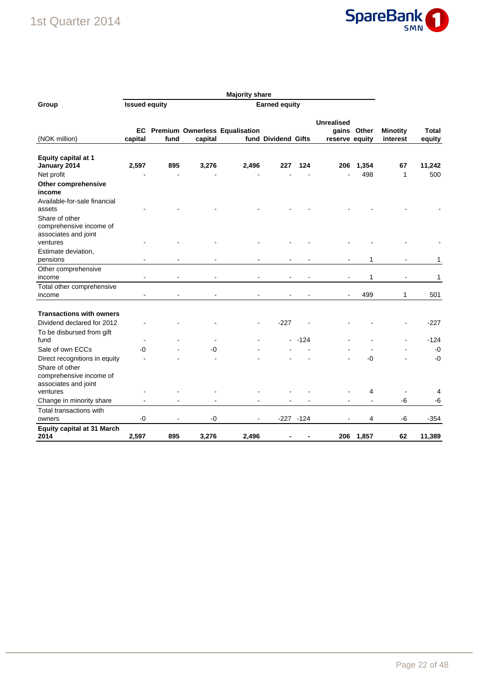### 1st Quarter 2014



| Group                                                                                              | <b>Issued equity</b> |      |         | <b>Earned equity</b>                  |                     |              |                                              |              |                             |                 |  |
|----------------------------------------------------------------------------------------------------|----------------------|------|---------|---------------------------------------|---------------------|--------------|----------------------------------------------|--------------|-----------------------------|-----------------|--|
| (NOK million)                                                                                      | EC<br>capital        | fund | capital | <b>Premium Ownerless Equalisation</b> | fund Dividend Gifts |              | <b>Unrealised</b><br>gains<br>reserve equity | Other        | <b>Minotity</b><br>interest | Total<br>equity |  |
| <b>Equity capital at 1</b><br>January 2014<br>Net profit                                           | 2,597                | 895  | 3,276   | 2,496                                 | 227                 | 124          | 206                                          | 1,354<br>498 | 67<br>1                     | 11,242<br>500   |  |
| Other comprehensive<br>income                                                                      |                      |      |         |                                       |                     |              |                                              |              |                             |                 |  |
| Available-for-sale financial<br>assets                                                             |                      |      |         |                                       |                     |              |                                              |              |                             |                 |  |
| Share of other<br>comprehensive income of<br>associates and joint<br>ventures                      |                      |      |         |                                       |                     |              |                                              |              |                             |                 |  |
| Estimate deviation,<br>pensions                                                                    |                      |      |         |                                       |                     |              |                                              | 1            |                             | 1               |  |
| Other comprehensive<br>income                                                                      |                      |      |         |                                       |                     |              |                                              | 1            |                             | 1               |  |
| Total other comprehensive<br>income                                                                | $\blacksquare$       |      |         |                                       |                     |              | $\blacksquare$                               | 499          | 1                           | 501             |  |
| <b>Transactions with owners</b><br>Dividend declared for 2012                                      |                      |      |         |                                       | $-227$              |              |                                              |              |                             | $-227$          |  |
| To be disbursed from gift<br>fund                                                                  |                      |      |         |                                       |                     | $-124$       |                                              |              |                             | $-124$          |  |
| Sale of own ECCs                                                                                   | -0                   |      | $-0$    |                                       |                     |              |                                              |              |                             | -0              |  |
| Direct recognitions in equity<br>Share of other<br>comprehensive income of<br>associates and joint |                      |      |         |                                       |                     |              |                                              | -0           |                             | $-0$            |  |
| ventures                                                                                           |                      |      |         |                                       |                     |              |                                              | 4            |                             | 4               |  |
| Change in minority share                                                                           |                      |      |         |                                       |                     |              |                                              |              | -6                          | -6              |  |
| Total transactions with                                                                            |                      |      |         |                                       |                     |              |                                              |              |                             |                 |  |
| owners                                                                                             | $-0$                 |      | -0      |                                       |                     | $-227 - 124$ |                                              | 4            | -6                          | $-354$          |  |
| <b>Equity capital at 31 March</b><br>2014                                                          | 2,597                | 895  | 3,276   | 2,496                                 |                     |              | 206                                          | 1,857        | 62                          | 11,389          |  |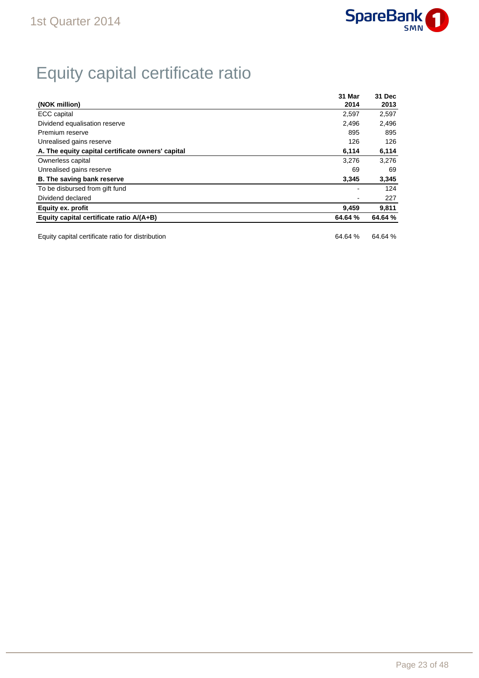

# Equity capital certificate ratio

| 31 Mar  | 31 Dec  |
|---------|---------|
| 2014    | 2013    |
| 2,597   | 2,597   |
| 2.496   | 2,496   |
| 895     | 895     |
| 126     | 126     |
| 6,114   | 6,114   |
| 3.276   | 3.276   |
| 69      | 69      |
| 3,345   | 3,345   |
|         | 124     |
|         | 227     |
| 9,459   | 9,811   |
| 64.64 % | 64.64 % |
|         |         |

Equity capital certificate ratio for distribution 64.64 % 64.64 % 64.64 %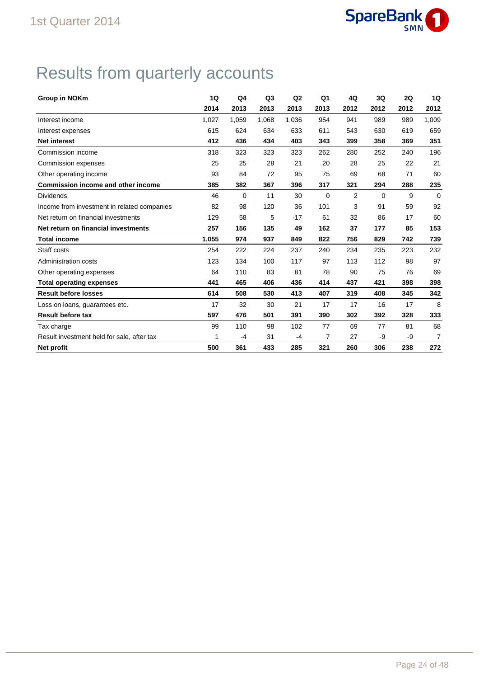

# Results from quarterly accounts

| <b>Group in NOKm</b>                        | 1Q    | Q4    | Q <sub>3</sub> | Q <sub>2</sub> | Q <sub>1</sub> | 4Q             | 3Q          | 2Q   | 1Q    |
|---------------------------------------------|-------|-------|----------------|----------------|----------------|----------------|-------------|------|-------|
|                                             | 2014  | 2013  | 2013           | 2013           | 2013           | 2012           | 2012        | 2012 | 2012  |
| Interest income                             | 1,027 | 1,059 | 1,068          | 1,036          | 954            | 941            | 989         | 989  | 1,009 |
| Interest expenses                           | 615   | 624   | 634            | 633            | 611            | 543            | 630         | 619  | 659   |
| <b>Net interest</b>                         | 412   | 436   | 434            | 403            | 343            | 399            | 358         | 369  | 351   |
| Commission income                           | 318   | 323   | 323            | 323            | 262            | 280            | 252         | 240  | 196   |
| Commission expenses                         | 25    | 25    | 28             | 21             | 20             | 28             | 25          | 22   | 21    |
| Other operating income                      | 93    | 84    | 72             | 95             | 75             | 69             | 68          | 71   | 60    |
| <b>Commission income and other income</b>   | 385   | 382   | 367            | 396            | 317            | 321            | 294         | 288  | 235   |
| <b>Dividends</b>                            | 46    | 0     | 11             | 30             | 0              | $\overline{2}$ | $\mathbf 0$ | 9    | 0     |
| Income from investment in related companies | 82    | 98    | 120            | 36             | 101            | 3              | 91          | 59   | 92    |
| Net return on financial investments         | 129   | 58    | 5              | $-17$          | 61             | 32             | 86          | 17   | 60    |
| Net return on financial investments         | 257   | 156   | 135            | 49             | 162            | 37             | 177         | 85   | 153   |
| <b>Total income</b>                         | 1,055 | 974   | 937            | 849            | 822            | 756            | 829         | 742  | 739   |
| Staff costs                                 | 254   | 222   | 224            | 237            | 240            | 234            | 235         | 223  | 232   |
| Administration costs                        | 123   | 134   | 100            | 117            | 97             | 113            | 112         | 98   | 97    |
| Other operating expenses                    | 64    | 110   | 83             | 81             | 78             | 90             | 75          | 76   | 69    |
| <b>Total operating expenses</b>             | 441   | 465   | 406            | 436            | 414            | 437            | 421         | 398  | 398   |
| <b>Result before losses</b>                 | 614   | 508   | 530            | 413            | 407            | 319            | 408         | 345  | 342   |
| Loss on loans, guarantees etc.              | 17    | 32    | 30             | 21             | 17             | 17             | 16          | 17   | 8     |
| <b>Result before tax</b>                    | 597   | 476   | 501            | 391            | 390            | 302            | 392         | 328  | 333   |
| Tax charge                                  | 99    | 110   | 98             | 102            | 77             | 69             | 77          | 81   | 68    |
| Result investment held for sale, after tax  | 1     | -4    | 31             | $-4$           | 7              | 27             | -9          | -9   | 7     |
| Net profit                                  | 500   | 361   | 433            | 285            | 321            | 260            | 306         | 238  | 272   |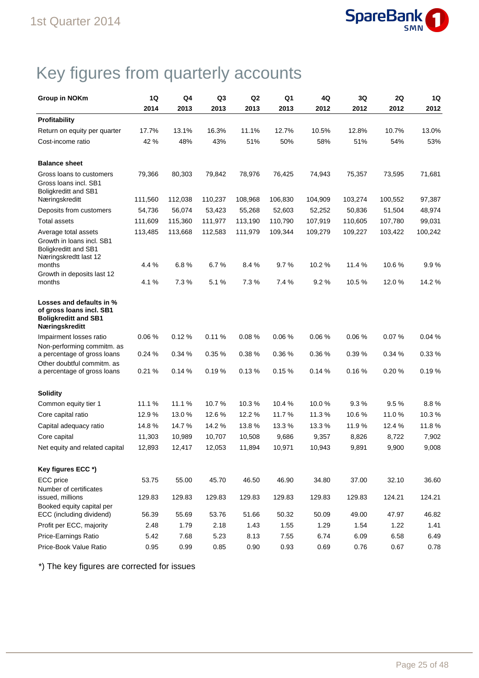

# Key figures from quarterly accounts

| <b>Group in NOKm</b>                                                                                  | 1Q      | Q4      | Q <sub>3</sub> | Q <sub>2</sub> | Q1      | 4Q      | 3Q      | 2Q      | 1Q      |
|-------------------------------------------------------------------------------------------------------|---------|---------|----------------|----------------|---------|---------|---------|---------|---------|
|                                                                                                       | 2014    | 2013    | 2013           | 2013           | 2013    | 2012    | 2012    | 2012    | 2012    |
| Profitability                                                                                         |         |         |                |                |         |         |         |         |         |
| Return on equity per quarter                                                                          | 17.7%   | 13.1%   | 16.3%          | 11.1%          | 12.7%   | 10.5%   | 12.8%   | 10.7%   | 13.0%   |
| Cost-income ratio                                                                                     | 42 %    | 48%     | 43%            | 51%            | 50%     | 58%     | 51%     | 54%     | 53%     |
| <b>Balance sheet</b>                                                                                  |         |         |                |                |         |         |         |         |         |
| Gross loans to customers<br>Gross loans incl. SB1<br>Boligkreditt and SB1                             | 79,366  | 80,303  | 79,842         | 78,976         | 76,425  | 74,943  | 75,357  | 73,595  | 71,681  |
| Næringskreditt                                                                                        | 111,560 | 112,038 | 110,237        | 108,968        | 106,830 | 104,909 | 103,274 | 100,552 | 97,387  |
| Deposits from customers                                                                               | 54,736  | 56,074  | 53,423         | 55,268         | 52,603  | 52,252  | 50,836  | 51,504  | 48,974  |
| <b>Total assets</b>                                                                                   | 111,609 | 115,360 | 111,977        | 113,190        | 110,790 | 107,919 | 110,605 | 107,780 | 99,031  |
| Average total assets<br>Growth in loans incl. SB1<br>Boligkreditt and SB1<br>Næringskredtt last 12    | 113,485 | 113,668 | 112,583        | 111,979        | 109,344 | 109,279 | 109,227 | 103,422 | 100,242 |
| months                                                                                                | 4.4 %   | 6.8%    | 6.7%           | 8.4%           | 9.7%    | 10.2%   | 11.4 %  | 10.6 %  | 9.9%    |
| Growth in deposits last 12<br>months                                                                  | 4.1 %   | 7.3%    | 5.1%           | 7.3%           | 7.4 %   | 9.2%    | 10.5 %  | 12.0%   | 14.2 %  |
| Losses and defaults in %<br>of gross loans incl. SB1<br><b>Boligkreditt and SB1</b><br>Næringskreditt |         |         |                |                |         |         |         |         |         |
| Impairment losses ratio                                                                               | 0.06%   | 0.12%   | 0.11%          | 0.08%          | 0.06%   | 0.06%   | 0.06%   | 0.07%   | 0.04%   |
| Non-performing commitm. as<br>a percentage of gross loans                                             | 0.24%   | 0.34 %  | 0.35 %         | 0.38%          | 0.36%   | 0.36%   | 0.39%   | 0.34%   | 0.33 %  |
| Other doubtful commitm. as<br>a percentage of gross loans                                             | 0.21%   | 0.14%   | 0.19%          | 0.13%          | 0.15%   | 0.14%   | 0.16%   | 0.20%   | 0.19%   |
| <b>Solidity</b>                                                                                       |         |         |                |                |         |         |         |         |         |
| Common equity tier 1                                                                                  | 11.1%   | 11.1%   | 10.7%          | 10.3%          | 10.4%   | 10.0%   | 9.3%    | 9.5%    | 8.8%    |
| Core capital ratio                                                                                    | 12.9%   | 13.0%   | 12.6%          | 12.2%          | 11.7%   | 11.3%   | 10.6%   | 11.0%   | 10.3%   |
| Capital adequacy ratio                                                                                | 14.8%   | 14.7%   | 14.2 %         | 13.8%          | 13.3 %  | 13.3 %  | 11.9%   | 12.4 %  | 11.8%   |
| Core capital                                                                                          | 11,303  | 10,989  | 10,707         | 10,508         | 9,686   | 9,357   | 8,826   | 8,722   | 7,902   |
| Net equity and related capital                                                                        | 12,893  | 12,417  | 12,053         | 11,894         | 10,971  | 10,943  | 9,891   | 9,900   | 9,008   |
| Key figures ECC *)                                                                                    |         |         |                |                |         |         |         |         |         |
| ECC price                                                                                             | 53.75   | 55.00   | 45.70          | 46.50          | 46.90   | 34.80   | 37.00   | 32.10   | 36.60   |
| Number of certificates<br>issued. millions                                                            | 129.83  | 129.83  | 129.83         | 129.83         | 129.83  | 129.83  | 129.83  | 124.21  | 124.21  |
| Booked equity capital per<br>ECC (including dividend)                                                 | 56.39   | 55.69   | 53.76          | 51.66          | 50.32   | 50.09   | 49.00   | 47.97   | 46.82   |
| Profit per ECC, majority                                                                              | 2.48    | 1.79    | 2.18           | 1.43           | 1.55    | 1.29    | 1.54    | 1.22    | 1.41    |
| Price-Earnings Ratio                                                                                  | 5.42    | 7.68    | 5.23           | 8.13           | 7.55    | 6.74    | 6.09    | 6.58    | 6.49    |
| Price-Book Value Ratio                                                                                | 0.95    | 0.99    | 0.85           | 0.90           | 0.93    | 0.69    | 0.76    | 0.67    | 0.78    |

\*) The key figures are corrected for issues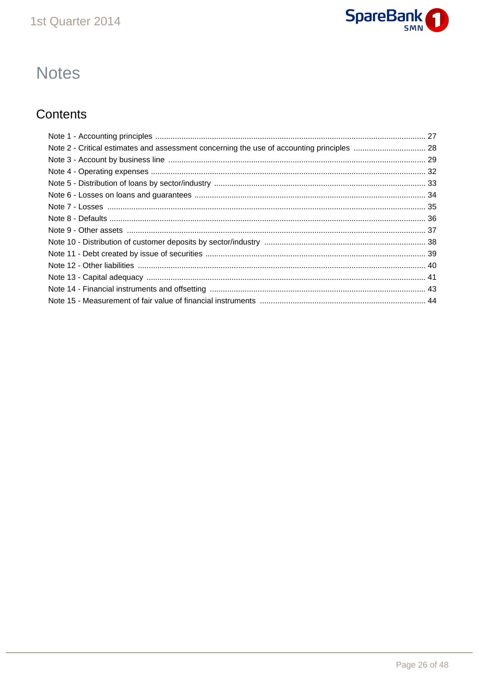

# **Notes**

### Contents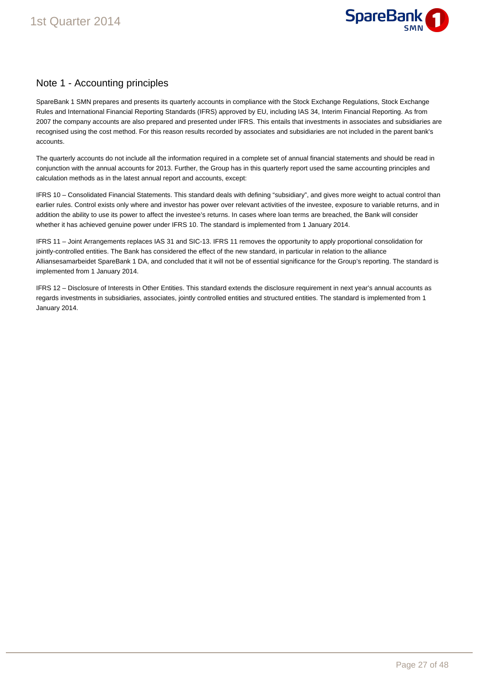

### Note 1 - Accounting principles

SpareBank 1 SMN prepares and presents its quarterly accounts in compliance with the Stock Exchange Regulations, Stock Exchange Rules and International Financial Reporting Standards (IFRS) approved by EU, including IAS 34, Interim Financial Reporting. As from 2007 the company accounts are also prepared and presented under IFRS. This entails that investments in associates and subsidiaries are recognised using the cost method. For this reason results recorded by associates and subsidiaries are not included in the parent bank's accounts.

The quarterly accounts do not include all the information required in a complete set of annual financial statements and should be read in conjunction with the annual accounts for 2013. Further, the Group has in this quarterly report used the same accounting principles and calculation methods as in the latest annual report and accounts, except:

IFRS 10 – Consolidated Financial Statements. This standard deals with defining "subsidiary", and gives more weight to actual control than earlier rules. Control exists only where and investor has power over relevant activities of the investee, exposure to variable returns, and in addition the ability to use its power to affect the investee's returns. In cases where loan terms are breached, the Bank will consider whether it has achieved genuine power under IFRS 10. The standard is implemented from 1 January 2014.

IFRS 11 – Joint Arrangements replaces IAS 31 and SIC-13. IFRS 11 removes the opportunity to apply proportional consolidation for jointly-controlled entities. The Bank has considered the effect of the new standard, in particular in relation to the alliance Alliansesamarbeidet SpareBank 1 DA, and concluded that it will not be of essential significance for the Group's reporting. The standard is implemented from 1 January 2014.

IFRS 12 – Disclosure of Interests in Other Entities. This standard extends the disclosure requirement in next year's annual accounts as regards investments in subsidiaries, associates, jointly controlled entities and structured entities. The standard is implemented from 1 January 2014.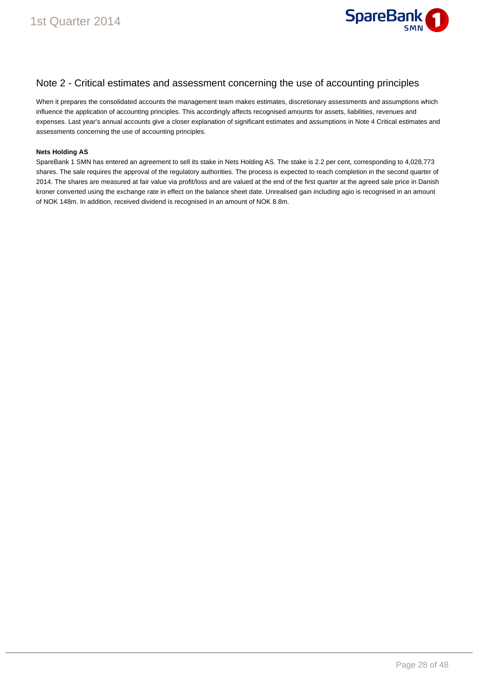

### Note 2 - Critical estimates and assessment concerning the use of accounting principles

When it prepares the consolidated accounts the management team makes estimates, discretionary assessments and assumptions which influence the application of accounting principles. This accordingly affects recognised amounts for assets, liabilities, revenues and expenses. Last year's annual accounts give a closer explanation of significant estimates and assumptions in Note 4 Critical estimates and assessments concerning the use of accounting principles.

#### **Nets Holding AS**

SpareBank 1 SMN has entered an agreement to sell its stake in Nets Holding AS. The stake is 2.2 per cent, corresponding to 4,028,773 shares. The sale requires the approval of the regulatory authorities. The process is expected to reach completion in the second quarter of 2014. The shares are measured at fair value via profit/loss and are valued at the end of the first quarter at the agreed sale price in Danish kroner converted using the exchange rate in effect on the balance sheet date. Unrealised gain including agio is recognised in an amount of NOK 148m. In addition, received dividend is recognised in an amount of NOK 8.8m.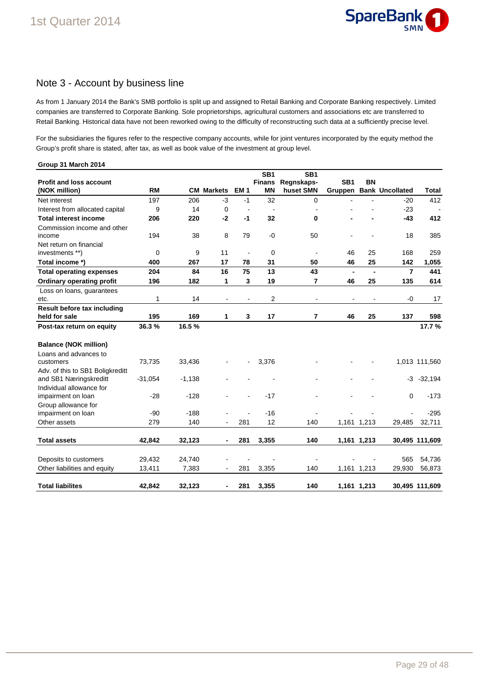

### Note 3 - Account by business line

As from 1 January 2014 the Bank's SMB portfolio is split up and assigned to Retail Banking and Corporate Banking respectively. Limited companies are transferred to Corporate Banking. Sole proprietorships, agricultural customers and associations etc are transferred to Retail Banking. Historical data have not been reworked owing to the difficulty of reconstructing such data at a sufficiently precise level.

For the subsidiaries the figures refer to the respective company accounts, while for joint ventures incorporated by the equity method the Group's profit share is stated, after tax, as well as book value of the investment at group level.

| Group 31 March 2014                                   |           |          |                          |                |                            |                          |                            |                          |                        |                |
|-------------------------------------------------------|-----------|----------|--------------------------|----------------|----------------------------|--------------------------|----------------------------|--------------------------|------------------------|----------------|
|                                                       |           |          |                          |                | SB <sub>1</sub>            | SB <sub>1</sub>          |                            |                          |                        |                |
| <b>Profit and loss account</b><br>(NOK million)       | <b>RM</b> | CМ       | <b>Markets</b>           | <b>EM1</b>     | <b>Finans</b><br><b>MN</b> | Regnskaps-<br>huset SMN  | SB <sub>1</sub><br>Gruppen | BN                       | <b>Bank Uncollated</b> | <b>Total</b>   |
| Net interest                                          | 197       | 206      | $-3$                     | $-1$           | 32                         | $\mathbf 0$              |                            |                          | $-20$                  | 412            |
| Interest from allocated capital                       | 9         | 14       | $\mathbf 0$              | $\overline{a}$ | $\blacksquare$             | $\overline{a}$           |                            |                          | $-23$                  |                |
| <b>Total interest income</b>                          | 206       | 220      | $-2$                     | -1             | 32                         | 0                        |                            |                          | $-43$                  | 412            |
| Commission income and other                           |           |          |                          |                |                            |                          |                            |                          |                        |                |
| income                                                | 194       | 38       | 8                        | 79             | $-0$                       | 50                       |                            |                          | 18                     | 385            |
| Net return on financial                               |           |          |                          |                |                            |                          |                            |                          |                        |                |
| investments **)                                       | 0         | 9        | 11                       | $\overline{a}$ | $\mathbf 0$                | $\blacksquare$           | 46                         | 25                       | 168                    | 259            |
| Total income *)                                       | 400       | 267      | 17                       | 78             | 31                         | 50                       | 46                         | 25                       | 142                    | 1,055          |
| <b>Total operating expenses</b>                       | 204       | 84       | 16                       | 75             | 13                         | 43                       | $\blacksquare$             | $\blacksquare$           | $\overline{7}$         | 441            |
| <b>Ordinary operating profit</b>                      | 196       | 182      | 1                        | 3              | 19                         | 7                        | 46                         | 25                       | 135                    | 614            |
| Loss on loans, guarantees                             |           |          |                          |                |                            |                          |                            |                          |                        |                |
| etc.                                                  | 1         | 14       | $\overline{\phantom{a}}$ | $\blacksquare$ | 2                          | $\overline{\phantom{a}}$ | $\overline{\phantom{0}}$   | $\overline{\phantom{a}}$ | -0                     | 17             |
| Result before tax including                           |           |          |                          |                |                            |                          |                            |                          |                        |                |
| held for sale                                         | 195       | 169      | 1                        | 3              | 17                         | 7                        | 46                         | 25                       | 137                    | 598            |
| Post-tax return on equity                             | 36.3%     | 16.5%    |                          |                |                            |                          |                            |                          |                        | 17.7%          |
| <b>Balance (NOK million)</b>                          |           |          |                          |                |                            |                          |                            |                          |                        |                |
| Loans and advances to                                 |           |          |                          |                |                            |                          |                            |                          |                        |                |
| customers                                             | 73,735    | 33,436   |                          |                | 3,376                      |                          |                            |                          |                        | 1,013 111,560  |
| Adv. of this to SB1 Boligkreditt                      |           |          |                          |                |                            |                          |                            |                          |                        |                |
| and SB1 Næringskreditt                                | $-31,054$ | $-1,138$ |                          |                |                            |                          |                            |                          | -3                     | $-32,194$      |
| Individual allowance for                              |           |          |                          |                |                            |                          |                            |                          |                        |                |
| impairment on loan                                    | $-28$     | $-128$   |                          |                | $-17$                      |                          |                            |                          | $\Omega$               | $-173$         |
| Group allowance for<br>impairment on loan             | $-90$     | $-188$   |                          |                | $-16$                      |                          |                            |                          |                        | $-295$         |
| Other assets                                          | 279       | 140      |                          | 281            | 12                         | 140                      |                            | 1,161 1,213              | 29,485                 | 32,711         |
|                                                       |           |          |                          |                |                            |                          |                            |                          |                        |                |
| <b>Total assets</b>                                   | 42,842    | 32,123   | $\blacksquare$           | 281            | 3,355                      | 140                      |                            | 1,161 1,213              |                        | 30,495 111,609 |
|                                                       | 29,432    | 24,740   |                          |                |                            |                          |                            |                          | 565                    | 54,736         |
| Deposits to customers<br>Other liabilities and equity |           | 7,383    |                          |                |                            | 140                      |                            |                          | 29,930                 | 56,873         |
|                                                       | 13,411    |          | $\blacksquare$           | 281            | 3,355                      |                          |                            | 1,161 1,213              |                        |                |
| <b>Total liabilites</b>                               | 42,842    | 32,123   | $\blacksquare$           | 281            | 3,355                      | 140                      |                            | 1,161 1,213              |                        | 30,495 111,609 |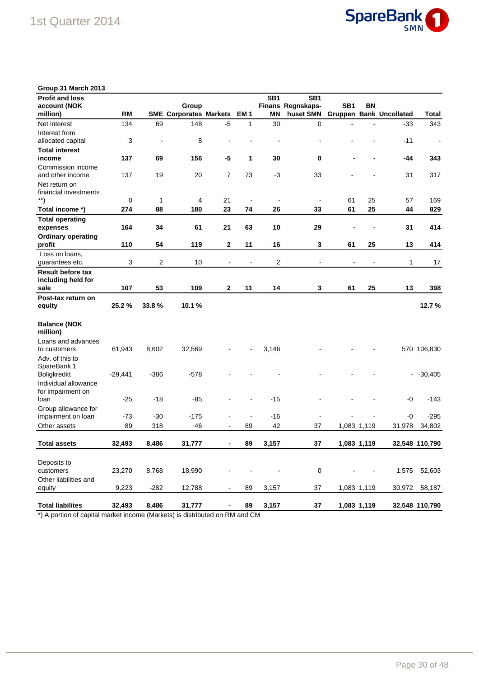

| Group 31 March 2013                |           |                |                               |                          |                          |                 |                              |                          |             |                                |                |
|------------------------------------|-----------|----------------|-------------------------------|--------------------------|--------------------------|-----------------|------------------------------|--------------------------|-------------|--------------------------------|----------------|
| <b>Profit and loss</b>             |           |                |                               |                          |                          | SB <sub>1</sub> | SB <sub>1</sub>              |                          |             |                                |                |
| account (NOK                       |           |                | Group                         |                          |                          |                 | Finans Regnskaps-            | SB <sub>1</sub>          | BN          |                                |                |
| million)                           | <b>RM</b> |                | <b>SME Corporates Markets</b> |                          | EM <sub>1</sub>          | <b>MN</b>       | huset SMN                    |                          |             | <b>Gruppen Bank Uncollated</b> | <b>Total</b>   |
| Net interest                       | 134       | 69             | 148                           | $-5$                     | 1                        | 30              | 0                            | $\blacksquare$           |             | $-33$                          | 343            |
| Interest from                      |           |                |                               |                          |                          |                 |                              |                          |             |                                |                |
| allocated capital                  | 3         | $\overline{a}$ | 8                             |                          |                          |                 |                              |                          |             | $-11$                          | $\blacksquare$ |
| <b>Total interest</b>              |           |                |                               |                          |                          |                 |                              |                          |             |                                |                |
| income                             | 137       | 69             | 156                           | -5                       | 1                        | 30              | 0                            |                          |             | -44                            | 343            |
| Commission income                  |           |                |                               |                          |                          |                 |                              |                          |             |                                |                |
| and other income                   | 137       | 19             | 20                            | $\overline{7}$           | 73                       | $-3$            | 33                           |                          |             | 31                             | 317            |
| Net return on                      |           |                |                               |                          |                          |                 |                              |                          |             |                                |                |
| financial investments              |           |                |                               |                          |                          |                 |                              |                          |             |                                |                |
| $\left( \mathbf{a}^{\ast }\right)$ | 0         | 1              | 4                             | 21                       | $\overline{\phantom{a}}$ | $\blacksquare$  | $\overline{a}$               | 61                       | 25          | 57                             | 169            |
| Total income *)                    | 274       | 88             | 180                           | 23                       | 74                       | 26              | 33                           | 61                       | 25          | 44                             | 829            |
| <b>Total operating</b>             |           |                |                               |                          |                          |                 |                              |                          |             |                                |                |
| expenses                           | 164       | 34             | 61                            | 21                       | 63                       | 10              | 29                           |                          |             | 31                             | 414            |
| <b>Ordinary operating</b>          |           |                |                               |                          |                          |                 |                              |                          |             |                                |                |
| profit                             | 110       | 54             | 119                           | $\mathbf 2$              | 11                       | 16              | 3                            | 61                       | 25          | 13                             | 414            |
| Loss on loans,                     |           |                |                               |                          |                          |                 |                              |                          |             |                                |                |
| guarantees etc.                    | 3         | 2              | 10                            | $\overline{\phantom{a}}$ | $\overline{\phantom{a}}$ | 2               | $\qquad \qquad \blacksquare$ | $\overline{\phantom{a}}$ |             | 1                              | 17             |
| <b>Result before tax</b>           |           |                |                               |                          |                          |                 |                              |                          |             |                                |                |
| including held for                 |           |                |                               |                          |                          |                 |                              |                          |             |                                |                |
| sale                               | 107       | 53             | 109                           | $\mathbf{2}$             | 11                       | 14              | 3                            | 61                       | 25          | 13                             | 398            |
| Post-tax return on                 |           |                |                               |                          |                          |                 |                              |                          |             |                                |                |
| equity                             | 25.2%     | 33.8%          | 10.1%                         |                          |                          |                 |                              |                          |             |                                | 12.7%          |
| <b>Balance (NOK</b><br>million)    |           |                |                               |                          |                          |                 |                              |                          |             |                                |                |
| Loans and advances                 |           |                |                               |                          |                          |                 |                              |                          |             |                                |                |
| to customers                       | 61,943    | 8,602          | 32,569                        |                          |                          | 3,146           |                              |                          |             |                                | 570 106,830    |
| Adv. of this to                    |           |                |                               |                          |                          |                 |                              |                          |             |                                |                |
| SpareBank 1                        |           |                |                               |                          |                          |                 |                              |                          |             |                                |                |
| Boligkreditt                       | $-29,441$ | -386           | -578                          |                          |                          |                 |                              |                          |             | ۰                              | $-30,405$      |
| Individual allowance               |           |                |                               |                          |                          |                 |                              |                          |             |                                |                |
| for impairment on                  |           |                |                               |                          |                          |                 |                              |                          |             |                                |                |
| loan                               | $-25$     | -18            | -85                           |                          |                          | $-15$           |                              |                          |             | -0                             | $-143$         |
| Group allowance for                |           |                |                               |                          |                          |                 |                              |                          |             |                                |                |
| impairment on loan                 | -73       | -30            | -175                          |                          | $\overline{a}$           | $-16$           |                              |                          |             | -0                             | $-295$         |
| Other assets                       | 89        | 318            | 46                            |                          | 89                       | 42              | 37                           |                          | 1,083 1,119 | 31,978                         | 34,802         |
|                                    |           |                |                               |                          |                          |                 |                              |                          |             |                                |                |
| <b>Total assets</b>                | 32,493    | 8,486          | 31,777                        |                          | 89                       | 3,157           | 37                           |                          | 1,083 1,119 |                                | 32,548 110,790 |
|                                    |           |                |                               |                          |                          |                 |                              |                          |             |                                |                |
| Deposits to                        |           |                |                               |                          |                          |                 |                              |                          |             |                                |                |
| customers                          | 23,270    | 8,768          | 18,990                        |                          |                          |                 | 0                            |                          |             |                                | 1,575 52,603   |
| Other liabilities and              |           |                |                               |                          |                          |                 |                              |                          |             |                                |                |
| equity                             | 9,223     | $-282$         | 12,788                        |                          | 89                       | 3,157           | 37                           |                          | 1,083 1,119 | 30,972                         | 58,187         |
| <b>Total liabilites</b>            | 32,493    | 8,486          | 31,777                        |                          | 89                       | 3,157           | 37                           |                          | 1,083 1,119 |                                | 32,548 110,790 |
|                                    |           |                |                               |                          |                          |                 |                              |                          |             |                                |                |

\*) A portion of capital market income (Markets) is distributed on RM and CM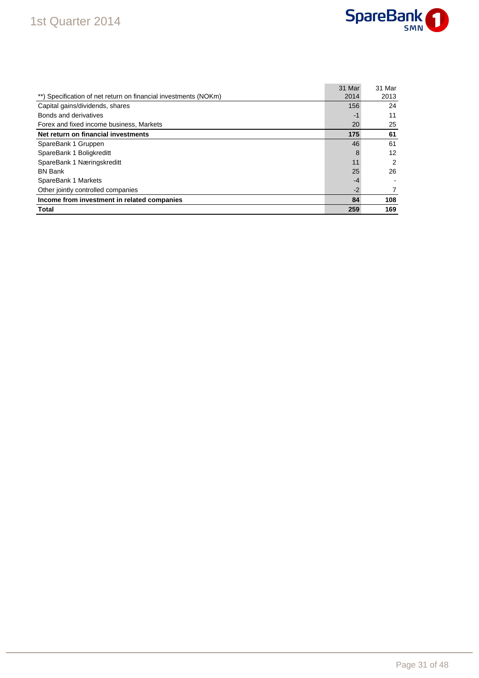### 1st Quarter 2014



|                                                                 | 31 Mar | 31 Mar |
|-----------------------------------------------------------------|--------|--------|
| **) Specification of net return on financial investments (NOKm) | 2014   | 2013   |
| Capital gains/dividends, shares                                 | 156    | 24     |
| Bonds and derivatives                                           | $-1$   | 11     |
| Forex and fixed income business, Markets                        | 20     | 25     |
| Net return on financial investments                             | 175    | 61     |
| SpareBank 1 Gruppen                                             | 46     | 61     |
| SpareBank 1 Boligkreditt                                        | 8      | 12     |
| SpareBank 1 Næringskreditt                                      | 11     | 2      |
| <b>BN Bank</b>                                                  | 25     | 26     |
| SpareBank 1 Markets                                             | $-4$   |        |
| Other jointly controlled companies                              | $-2$   |        |
| Income from investment in related companies                     | 84     | 108    |
| Total                                                           | 259    | 169    |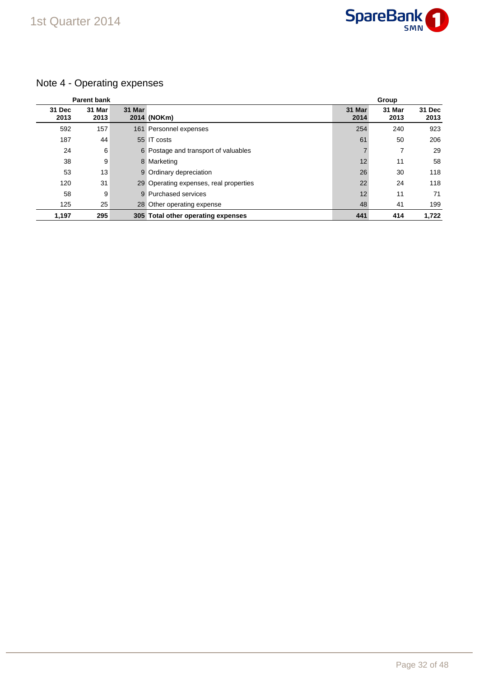

### Note 4 - Operating expenses

|                | <b>Parent bank</b> |        |                                        |                | Group          |                |
|----------------|--------------------|--------|----------------------------------------|----------------|----------------|----------------|
| 31 Dec<br>2013 | 31 Mar<br>2013     | 31 Mar | 2014 (NOKm)                            | 31 Mar<br>2014 | 31 Mar<br>2013 | 31 Dec<br>2013 |
| 592            | 157                |        | 161 Personnel expenses                 | 254            | 240            | 923            |
| 187            | 44                 |        | 55 IT costs                            | 61             | 50             | 206            |
| 24             | 6                  |        | 6 Postage and transport of valuables   | 7              |                | 29             |
| 38             | 9                  |        | 8 Marketing                            | 12             | 11             | 58             |
| 53             | 13                 |        | 9 Ordinary depreciation                | 26             | 30             | 118            |
| 120            | 31                 |        | 29 Operating expenses, real properties | 22             | 24             | 118            |
| 58             | 9                  |        | 9 Purchased services                   | 12             | 11             | 71             |
| 125            | 25                 |        | 28 Other operating expense             | 48             | 41             | 199            |
| 1,197          | 295                |        | 305 Total other operating expenses     | 441            | 414            | 1.722          |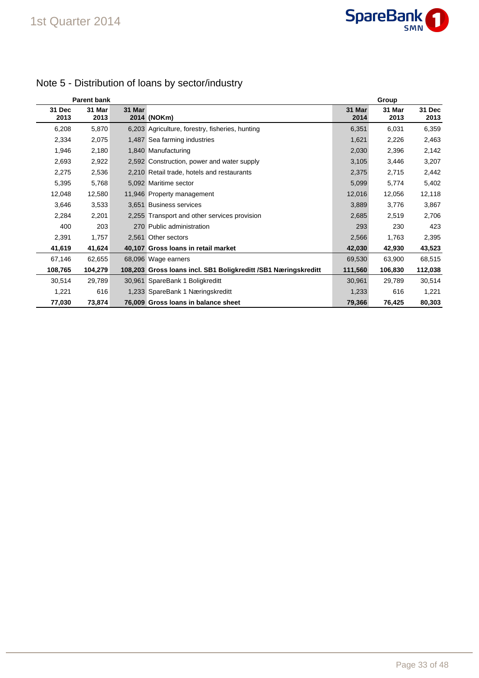

|                | <b>Parent bank</b> |        |                                                                 |                | Group          |                |
|----------------|--------------------|--------|-----------------------------------------------------------------|----------------|----------------|----------------|
| 31 Dec<br>2013 | 31 Mar<br>2013     | 31 Mar | 2014 (NOKm)                                                     | 31 Mar<br>2014 | 31 Mar<br>2013 | 31 Dec<br>2013 |
| 6,208          | 5,870              |        | 6,203 Agriculture, forestry, fisheries, hunting                 | 6,351          | 6,031          | 6,359          |
| 2,334          | 2,075              |        | 1,487 Sea farming industries                                    | 1,621          | 2,226          | 2,463          |
| 1,946          | 2,180              |        | 1,840 Manufacturing                                             | 2,030          | 2,396          | 2,142          |
| 2,693          | 2,922              |        | 2,592 Construction, power and water supply                      | 3,105          | 3,446          | 3,207          |
| 2,275          | 2,536              |        | 2,210 Retail trade, hotels and restaurants                      | 2,375          | 2,715          | 2,442          |
| 5,395          | 5,768              |        | 5,092 Maritime sector                                           | 5,099          | 5,774          | 5,402          |
| 12,048         | 12,580             |        | 11,946 Property management                                      | 12,016         | 12,056         | 12,118         |
| 3,646          | 3,533              |        | 3.651 Business services                                         | 3,889          | 3,776          | 3,867          |
| 2,284          | 2,201              |        | 2,255 Transport and other services provision                    | 2,685          | 2,519          | 2,706          |
| 400            | 203                |        | 270 Public administration                                       | 293            | 230            | 423            |
| 2,391          | 1,757              |        | 2,561 Other sectors                                             | 2,566          | 1,763          | 2,395          |
| 41,619         | 41,624             |        | 40,107 Gross Ioans in retail market                             | 42,030         | 42,930         | 43,523         |
| 67,146         | 62,655             |        | 68,096 Wage earners                                             | 69,530         | 63,900         | 68,515         |
| 108,765        | 104,279            |        | 108,203 Gross Ioans incl. SB1 Boligkreditt / SB1 Næringskreditt | 111,560        | 106,830        | 112,038        |
| 30,514         | 29,789             |        | 30,961 SpareBank 1 Boligkreditt                                 | 30,961         | 29,789         | 30,514         |
| 1,221          | 616                |        | 1,233 SpareBank 1 Næringskreditt                                | 1,233          | 616            | 1,221          |
| 77,030         | 73,874             |        | 76,009 Gross Ioans in balance sheet                             | 79,366         | 76,425         | 80,303         |

### Note 5 - Distribution of loans by sector/industry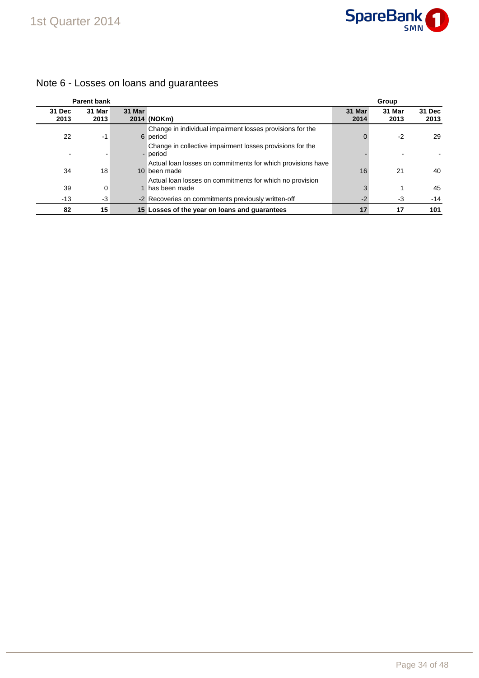

#### **Parent bank Group 31 Dec 2013 31 Mar 2013 31 Mar 2014 (NOKm) 31 Mar 2014 31 Mar 2013 31 Dec 2013** 22 -1 6 Change in individual impairment losses provisions for the period 0 -2 29 - - - Change in collective impairment losses provisions for the period in the second second second second second second second second second second second second second second 34 18 10 Actual loan losses on commitments for which provisions have 10 been made 16 21 21 40 39 0 1 Actual loan losses on commitments for which no provision 1 has been made 3 1 45 -13 -3 -2 Recoveries on commitments previously written-off -2 -3 -14 **82 15 15 Losses of the year on loans and guarantees 17 17 101**

### Note 6 - Losses on loans and guarantees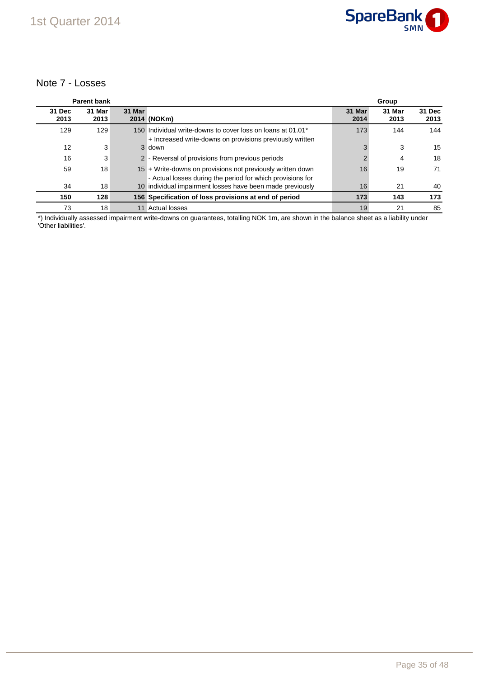### Note 7 - Losses

|                | <b>Parent bank</b> |        |                                                                                                                          |                | Group          |                |
|----------------|--------------------|--------|--------------------------------------------------------------------------------------------------------------------------|----------------|----------------|----------------|
| 31 Dec<br>2013 | 31 Mar<br>2013     | 31 Mar | 2014 (NOKm)                                                                                                              | 31 Mar<br>2014 | 31 Mar<br>2013 | 31 Dec<br>2013 |
| 129            | 129                |        | 150 Individual write-downs to cover loss on loans at 01.01*<br>+ Increased write-downs on provisions previously written  | 173            | 144            | 144            |
| 12             | 3                  |        | 3 down                                                                                                                   | 3              | 3              | 15             |
| 16             | 3                  |        | 2 - Reversal of provisions from previous periods                                                                         |                | 4              | 18             |
| 59             | 18                 |        | 15 + Write-downs on provisions not previously written down<br>- Actual losses during the period for which provisions for | 16             | 19             | 71             |
| 34             | 18                 |        | 10 individual impairment losses have been made previously                                                                | 16             | 21             | 40             |
| 150            | 128                |        | 156 Specification of loss provisions at end of period                                                                    | 173            | 143            | 173            |
| 73             | 18                 |        | 11 Actual losses                                                                                                         | 19             | 21             | 85             |

\*) Individually assessed impairment write-downs on guarantees, totalling NOK 1m, are shown in the balance sheet as a liability under 'Other liabilities'.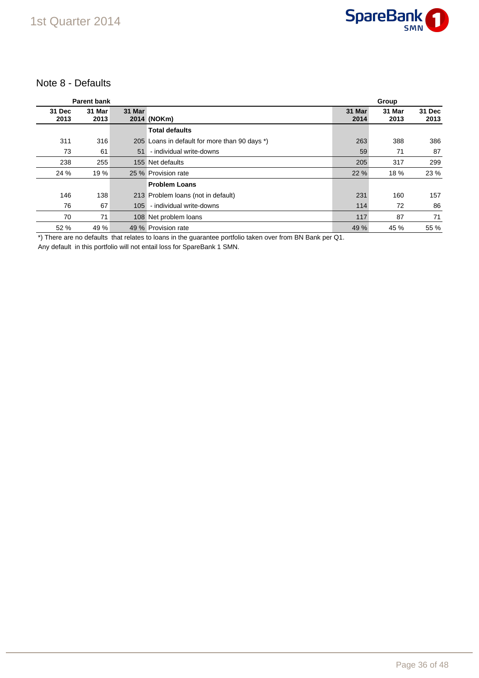

### Note 8 - Defaults

|                | <b>Parent bank</b> |        |                                               |                | Group          |                |
|----------------|--------------------|--------|-----------------------------------------------|----------------|----------------|----------------|
| 31 Dec<br>2013 | 31 Mar<br>2013     | 31 Mar | 2014 (NOKm)                                   | 31 Mar<br>2014 | 31 Mar<br>2013 | 31 Dec<br>2013 |
|                |                    |        | <b>Total defaults</b>                         |                |                |                |
| 311            | 316                |        | 205 Loans in default for more than 90 days *) | 263            | 388            | 386            |
| 73             | 61                 | 51     | - individual write-downs                      | 59             | 71             | 87             |
| 238            | 255                |        | 155 Net defaults                              | 205            | 317            | 299            |
| 24 %           | 19 %               |        | 25 % Provision rate                           | 22 %           | 18 %           | 23 %           |
|                |                    |        | <b>Problem Loans</b>                          |                |                |                |
| 146            | 138                |        | 213 Problem Ioans (not in default)            | 231            | 160            | 157            |
| 76             | 67                 | 105    | - individual write-downs                      | 114            | 72             | 86             |
| 70             | 71                 |        | 108 Net problem loans                         | 117            | 87             | 71             |
| 52 %           | 49 %               |        | 49 % Provision rate                           | 49 %           | 45 %           | 55 %           |

\*) There are no defaults that relates to loans in the guarantee portfolio taken over from BN Bank per Q1.

Any default in this portfolio will not entail loss for SpareBank 1 SMN.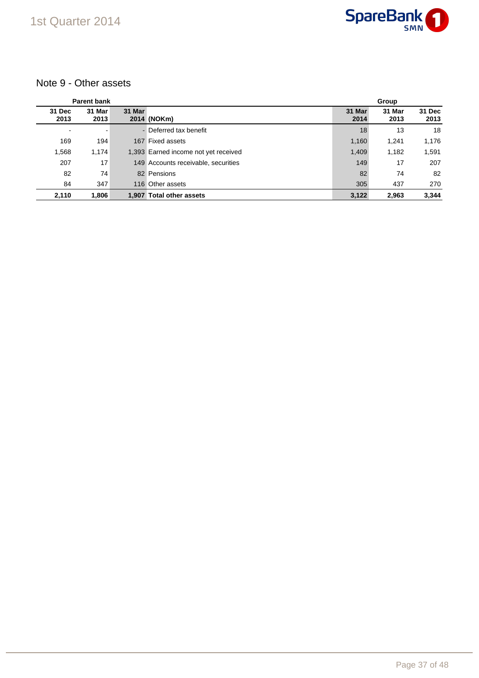

### Note 9 - Other assets

|                          | <b>Parent bank</b> |        |                                      |                | Group          |                |  |
|--------------------------|--------------------|--------|--------------------------------------|----------------|----------------|----------------|--|
| 31 Dec<br>2013           | 31 Mar<br>2013     | 31 Mar | 2014 (NOKm)                          | 31 Mar<br>2014 | 31 Mar<br>2013 | 31 Dec<br>2013 |  |
| $\overline{\phantom{a}}$ |                    |        | - Deferred tax benefit               | 18             | 13             | 18             |  |
| 169                      | 194                |        | 167 Fixed assets                     | 1,160          | 1.241          | 1,176          |  |
| 1,568                    | 1,174              |        | 1,393 Earned income not yet received | 1,409          | 1,182          | 1,591          |  |
| 207                      | 17                 |        | 149 Accounts receivable, securities  | 149            | 17             | 207            |  |
| 82                       | 74                 |        | 82 Pensions                          | 82             | 74             | 82             |  |
| 84                       | 347                |        | 116 Other assets                     | 305            | 437            | 270            |  |
| 2,110                    | 1,806              | 1.907  | <b>Total other assets</b>            | 3,122          | 2.963          | 3,344          |  |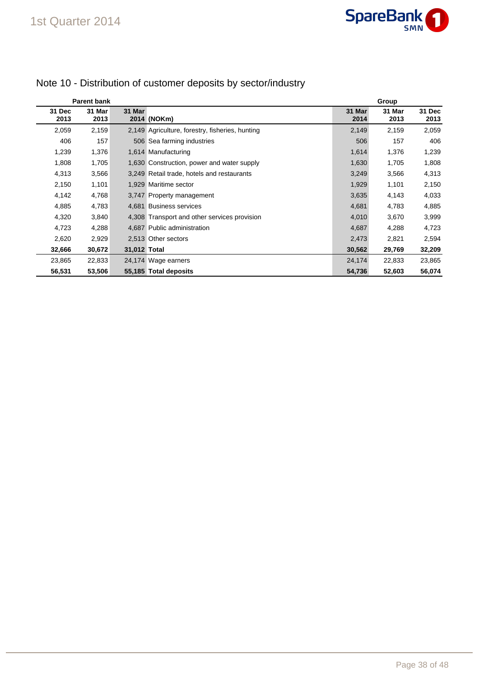|                | <b>Parent bank</b> |              |                                                 |                | Group          |                       |  |
|----------------|--------------------|--------------|-------------------------------------------------|----------------|----------------|-----------------------|--|
| 31 Dec<br>2013 | 31 Mar<br>2013     | 31 Mar       | 2014 (NOKm)                                     | 31 Mar<br>2014 | 31 Mar<br>2013 | <b>31 Dec</b><br>2013 |  |
| 2,059          | 2,159              |              | 2,149 Agriculture, forestry, fisheries, hunting | 2,149          | 2,159          | 2,059                 |  |
| 406            | 157                |              | 506 Sea farming industries                      | 506            | 157            | 406                   |  |
| 1,239          | 1,376              |              | 1,614 Manufacturing                             | 1,614          | 1,376          | 1,239                 |  |
| 1,808          | 1,705              |              | 1,630 Construction, power and water supply      | 1,630          | 1,705          | 1,808                 |  |
| 4,313          | 3,566              |              | 3,249 Retail trade, hotels and restaurants      | 3,249          | 3,566          | 4,313                 |  |
| 2,150          | 1,101              |              | 1,929 Maritime sector                           | 1,929          | 1,101          | 2,150                 |  |
| 4,142          | 4,768              |              | 3,747 Property management                       | 3,635          | 4,143          | 4,033                 |  |
| 4,885          | 4,783              |              | 4,681 Business services                         | 4,681          | 4,783          | 4,885                 |  |
| 4,320          | 3,840              |              | 4,308 Transport and other services provision    | 4,010          | 3,670          | 3,999                 |  |
| 4,723          | 4,288              |              | 4,687 Public administration                     | 4,687          | 4,288          | 4,723                 |  |
| 2,620          | 2,929              |              | 2,513 Other sectors                             | 2,473          | 2,821          | 2,594                 |  |
| 32,666         | 30,672             | 31,012 Total |                                                 | 30,562         | 29,769         | 32,209                |  |
| 23,865         | 22,833             |              | 24,174 Wage earners                             | 24,174         | 22,833         | 23,865                |  |
| 56,531         | 53,506             |              | 55,185 Total deposits                           | 54,736         | 52,603         | 56,074                |  |

### Note 10 - Distribution of customer deposits by sector/industry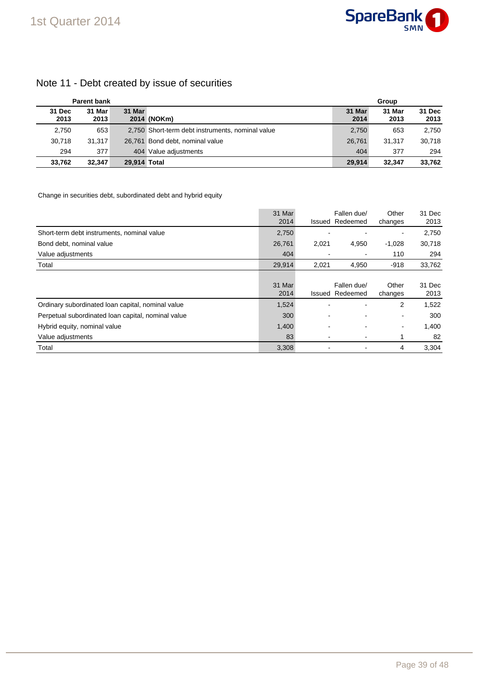### Note 11 - Debt created by issue of securities

|                | <b>Parent bank</b> |              |                                                  | Group          |                |                |
|----------------|--------------------|--------------|--------------------------------------------------|----------------|----------------|----------------|
| 31 Dec<br>2013 | 31 Mar<br>2013     | 31 Mar       | 2014 (NOKm)                                      | 31 Mar<br>2014 | 31 Mar<br>2013 | 31 Dec<br>2013 |
| 2,750          | 653                |              | 2,750 Short-term debt instruments, nominal value | 2,750          | 653            | 2,750          |
| 30.718         | 31.317             |              | 26,761 Bond debt, nominal value                  | 26.761         | 31.317         | 30.718         |
| 294            | 377                |              | 404 Value adjustments                            | 404            | 377            | 294            |
| 33,762         | 32.347             | 29.914 Total |                                                  | 29.914         | 32.347         | 33,762         |

#### Change in securities debt, subordinated debt and hybrid equity

|                                                    | 31 Mar<br>2014 |       | Fallen due/<br><b>Issued Redeemed</b> | Other<br>changes         | 31 Dec<br>2013 |
|----------------------------------------------------|----------------|-------|---------------------------------------|--------------------------|----------------|
| Short-term debt instruments, nominal value         | 2,750          |       |                                       | $\overline{\phantom{0}}$ | 2,750          |
| Bond debt, nominal value                           | 26,761         | 2,021 | 4,950                                 | $-1,028$                 | 30,718         |
| Value adjustments                                  | 404            |       |                                       | 110                      | 294            |
| Total                                              | 29,914         | 2,021 | 4,950                                 | $-918$                   | 33,762         |
|                                                    | 31 Mar<br>2014 |       | Fallen due/<br><b>Issued Redeemed</b> | Other<br>changes         | 31 Dec<br>2013 |
| Ordinary subordinated loan capital, nominal value  | 1,524          |       |                                       | 2                        | 1,522          |
| Perpetual subordinated loan capital, nominal value | 300            |       |                                       | ۰                        | 300            |
| Hybrid equity, nominal value                       | 1,400          |       |                                       | ۰                        | 1,400          |
| Value adjustments                                  | 83             |       |                                       | 1                        | 82             |
| Total                                              | 3,308          |       |                                       | 4                        | 3.304          |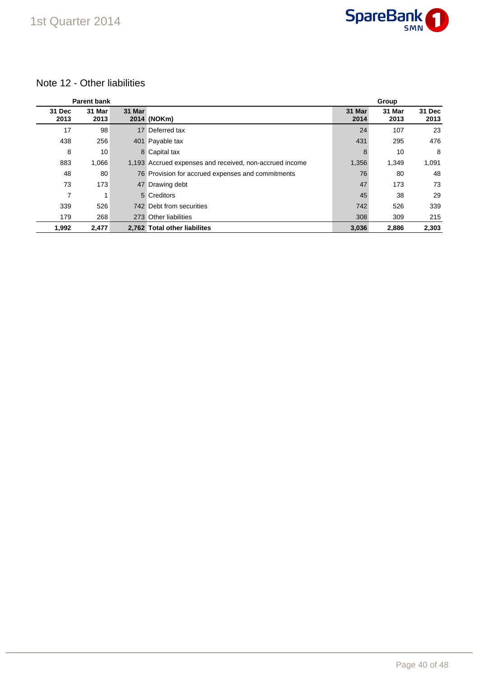

### 1st Quarter 2014

### Note 12 - Other liabilities

|                | <b>Parent bank</b> |        |                                                         |                | Group          |                |  |
|----------------|--------------------|--------|---------------------------------------------------------|----------------|----------------|----------------|--|
| 31 Dec<br>2013 | 31 Mar<br>2013     | 31 Mar | 2014 (NOKm)                                             | 31 Mar<br>2014 | 31 Mar<br>2013 | 31 Dec<br>2013 |  |
| 17             | 98                 |        | 17 Deferred tax                                         | 24             | 107            | 23             |  |
| 438            | 256                |        | 401 Payable tax                                         | 431            | 295            | 476            |  |
| 8              | 10                 |        | 8 Capital tax                                           | 8              | 10             | 8              |  |
| 883            | 1,066              |        | 1,193 Accrued expenses and received, non-accrued income | 1,356          | 1,349          | 1,091          |  |
| 48             | 80                 |        | 76 Provision for accrued expenses and commitments       | 76             | 80             | 48             |  |
| 73             | 173                |        | 47 Drawing debt                                         | 47             | 173            | 73             |  |
| 7              |                    |        | 5 Creditors                                             | 45             | 38             | 29             |  |
| 339            | 526                |        | 742 Debt from securities                                | 742            | 526            | 339            |  |
| 179            | 268                |        | 273 Other liabilities                                   | 308            | 309            | 215            |  |
| 1,992          | 2,477              |        | 2,762 Total other liabilites                            | 3,036          | 2,886          | 2,303          |  |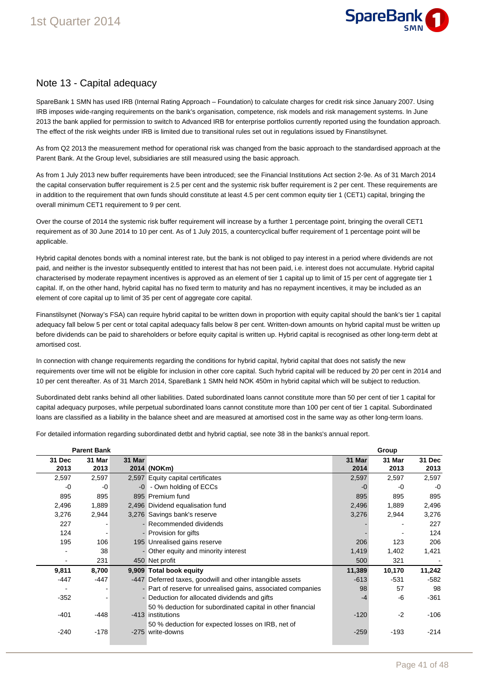

### Note 13 - Capital adequacy

SpareBank 1 SMN has used IRB (Internal Rating Approach – Foundation) to calculate charges for credit risk since January 2007. Using IRB imposes wide-ranging requirements on the bank's organisation, competence, risk models and risk management systems. In June 2013 the bank applied for permission to switch to Advanced IRB for enterprise portfolios currently reported using the foundation approach. The effect of the risk weights under IRB is limited due to transitional rules set out in regulations issued by Finanstilsynet.

As from Q2 2013 the measurement method for operational risk was changed from the basic approach to the standardised approach at the Parent Bank. At the Group level, subsidiaries are still measured using the basic approach.

As from 1 July 2013 new buffer requirements have been introduced; see the Financial Institutions Act section 2-9e. As of 31 March 2014 the capital conservation buffer requirement is 2.5 per cent and the systemic risk buffer requirement is 2 per cent. These requirements are in addition to the requirement that own funds should constitute at least 4.5 per cent common equity tier 1 (CET1) capital, bringing the overall minimum CET1 requirement to 9 per cent.

Over the course of 2014 the systemic risk buffer requirement will increase by a further 1 percentage point, bringing the overall CET1 requirement as of 30 June 2014 to 10 per cent. As of 1 July 2015, a countercyclical buffer requirement of 1 percentage point will be applicable.

Hybrid capital denotes bonds with a nominal interest rate, but the bank is not obliged to pay interest in a period where dividends are not paid, and neither is the investor subsequently entitled to interest that has not been paid, i.e. interest does not accumulate. Hybrid capital characterised by moderate repayment incentives is approved as an element of tier 1 capital up to limit of 15 per cent of aggregate tier 1 capital. If, on the other hand, hybrid capital has no fixed term to maturity and has no repayment incentives, it may be included as an element of core capital up to limit of 35 per cent of aggregate core capital.

Finanstilsynet (Norway's FSA) can require hybrid capital to be written down in proportion with equity capital should the bank's tier 1 capital adequacy fall below 5 per cent or total capital adequacy falls below 8 per cent. Written-down amounts on hybrid capital must be written up before dividends can be paid to shareholders or before equity capital is written up. Hybrid capital is recognised as other long-term debt at amortised cost.

In connection with change requirements regarding the conditions for hybrid capital, hybrid capital that does not satisfy the new requirements over time will not be eligible for inclusion in other core capital. Such hybrid capital will be reduced by 20 per cent in 2014 and 10 per cent thereafter. As of 31 March 2014, SpareBank 1 SMN held NOK 450m in hybrid capital which will be subject to reduction.

Subordinated debt ranks behind all other liabilities. Dated subordinated loans cannot constitute more than 50 per cent of tier 1 capital for capital adequacy purposes, while perpetual subordinated loans cannot constitute more than 100 per cent of tier 1 capital. Subordinated loans are classified as a liability in the balance sheet and are measured at amortised cost in the same way as other long-term loans.

For detailed information regarding subordinated detbt and hybrid captial, see note 38 in the banks's annual report.

|                | <b>Parent Bank</b> |        |                                                              |                | Group          |                |
|----------------|--------------------|--------|--------------------------------------------------------------|----------------|----------------|----------------|
| 31 Dec<br>2013 | 31 Mar<br>2013     | 31 Mar | 2014 (NOKm)                                                  | 31 Mar<br>2014 | 31 Mar<br>2013 | 31 Dec<br>2013 |
| 2,597          | 2,597              |        | 2,597 Equity capital certificates                            | 2,597          | 2,597          | 2,597          |
| $-0$           | -0                 |        | -0 - Own holding of ECCs                                     | $-0$           | -0             | $-0$           |
| 895            | 895                |        | 895 Premium fund                                             | 895            | 895            | 895            |
| 2,496          | 1,889              |        | 2,496 Dividend equalisation fund                             | 2,496          | 1,889          | 2,496          |
| 3,276          | 2,944              |        | 3,276 Savings bank's reserve                                 | 3,276          | 2,944          | 3,276          |
| 227            |                    |        | - Recommended dividends                                      |                |                | 227            |
| 124            |                    |        | - Provision for gifts                                        |                |                | 124            |
| 195            | 106                |        | 195 Unrealised gains reserve                                 | 206            | 123            | 206            |
|                | 38                 |        | - Other equity and minority interest                         | 1,419          | 1,402          | 1,421          |
|                | 231                |        | 450 Net profit                                               | 500            | 321            |                |
| 9,811          | 8,700              |        | 9,909 Total book equity                                      | 11,389         | 10,170         | 11,242         |
| $-447$         | $-447$             |        | -447 Deferred taxes, goodwill and other intangible assets    | $-613$         | $-531$         | $-582$         |
|                |                    |        | - Part of reserve for unrealised gains, associated companies | 98             | 57             | 98             |
| $-352$         |                    |        | - Deduction for allocated dividends and gifts                | -4             | -6             | $-361$         |
|                |                    |        | 50 % deduction for subordinated capital in other financial   |                |                |                |
| -401           | -448               |        | -413 institutions                                            | $-120$         | $-2$           | $-106$         |
|                |                    |        | 50 % deduction for expected losses on IRB, net of            |                |                |                |
| $-240$         | $-178$             |        | -275 write-downs                                             | $-259$         | $-193$         | $-214$         |
|                |                    |        |                                                              |                |                |                |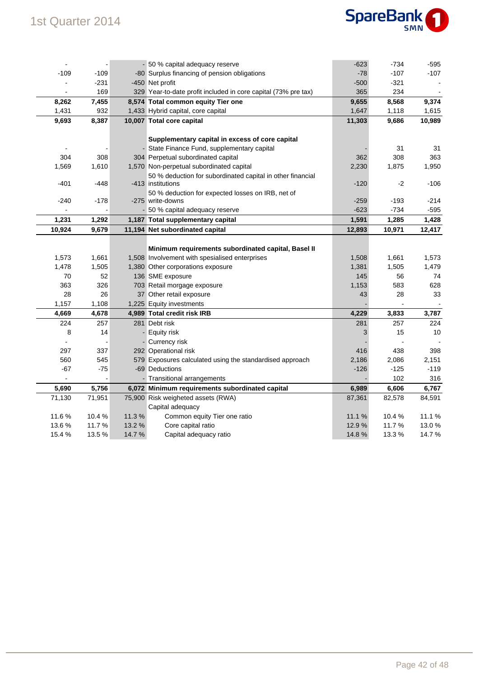

| $\blacksquare$ |        |        | - 50 % capital adequacy reserve                                | $-623$ | $-734$ | -595   |
|----------------|--------|--------|----------------------------------------------------------------|--------|--------|--------|
| $-109$         | $-109$ |        | -80 Surplus financing of pension obligations                   | $-78$  | $-107$ | $-107$ |
|                | -231   |        | -450 Net profit                                                | $-500$ | $-321$ |        |
|                | 169    |        | 329 Year-to-date profit included in core capital (73% pre tax) | 365    | 234    |        |
| 8,262          | 7,455  |        | 8,574 Total common equity Tier one                             | 9,655  | 8,568  | 9,374  |
| 1,431          | 932    |        | 1,433 Hybrid capital, core capital                             | 1,647  | 1,118  | 1,615  |
| 9,693          | 8,387  |        | 10,007 Total core capital                                      | 11,303 | 9,686  | 10,989 |
|                |        |        |                                                                |        |        |        |
|                |        |        | Supplementary capital in excess of core capital                |        |        |        |
|                |        |        | - State Finance Fund, supplementary capital                    |        | 31     | 31     |
| 304            | 308    |        | 304 Perpetual subordinated capital                             | 362    | 308    | 363    |
| 1,569          | 1,610  |        | 1,570 Non-perpetual subordinated capital                       | 2,230  | 1,875  | 1,950  |
|                |        |        | 50 % deduction for subordinated capital in other financial     |        |        |        |
| $-401$         | -448   |        | -413 institutions                                              | $-120$ | $-2$   | $-106$ |
|                |        |        | 50 % deduction for expected losses on IRB, net of              |        |        |        |
| $-240$         | $-178$ |        | -275 write-downs                                               | $-259$ | $-193$ | $-214$ |
|                |        |        | - 50 % capital adequacy reserve                                | $-623$ | -734   | $-595$ |
| 1,231          | 1,292  |        | 1,187 Total supplementary capital                              | 1,591  | 1,285  | 1,428  |
| 10,924         | 9,679  |        | 11,194 Net subordinated capital                                | 12,893 | 10,971 | 12,417 |
|                |        |        |                                                                |        |        |        |
|                |        |        | Minimum requirements subordinated capital, Basel II            |        |        |        |
| 1,573          | 1,661  |        | 1,508 Involvement with spesialised enterprises                 | 1,508  | 1,661  | 1,573  |
| 1,478          | 1,505  |        | 1,380 Other corporations exposure                              | 1,381  | 1,505  | 1,479  |
| 70             | 52     |        | 136 SME exposure                                               | 145    | 56     | 74     |
| 363            | 326    |        | 703 Retail morgage exposure                                    | 1,153  | 583    | 628    |
| 28             | 26     |        | 37 Other retail exposure                                       | 43     | 28     | 33     |
| 1,157          | 1,108  |        | 1,225 Equity investments                                       |        |        |        |
| 4,669          | 4,678  |        | 4,989 Total credit risk IRB                                    | 4,229  | 3,833  | 3,787  |
| 224            | 257    |        | 281 Debt risk                                                  | 281    | 257    | 224    |
| 8              | 14     |        | - Equity risk                                                  | 3      | 15     | 10     |
|                |        |        | - Currency risk                                                |        |        |        |
| 297            | 337    |        | 292 Operational risk                                           | 416    | 438    | 398    |
| 560            | 545    |        | 579 Exposures calculated using the standardised approach       | 2,186  | 2,086  | 2,151  |
| $-67$          | -75    |        | -69 Deductions                                                 | -126   | $-125$ | $-119$ |
|                |        |        | - Transitional arrangements                                    |        | 102    | 316    |
| 5,690          | 5,756  |        | 6,072 Minimum requirements subordinated capital                | 6,989  | 6,606  | 6,767  |
| 71,130         | 71,951 |        | 75,900 Risk weigheted assets (RWA)                             | 87,361 | 82,578 | 84,591 |
|                |        |        | Capital adequacy                                               |        |        |        |
| 11.6%          | 10.4%  | 11.3%  | Common equity Tier one ratio                                   | 11.1 % | 10.4 % | 11.1 % |
| 13.6%          | 11.7%  | 13.2 % | Core capital ratio                                             | 12.9%  | 11.7%  | 13.0%  |
| 15.4%          | 13.5 % | 14.7 % | Capital adequacy ratio                                         | 14.8%  | 13.3 % | 14.7%  |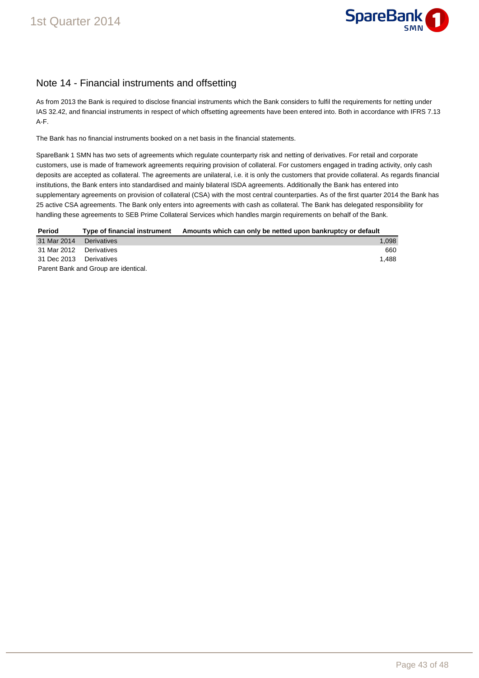

### Note 14 - Financial instruments and offsetting

As from 2013 the Bank is required to disclose financial instruments which the Bank considers to fulfil the requirements for netting under IAS 32.42, and financial instruments in respect of which offsetting agreements have been entered into. Both in accordance with IFRS 7.13 A-F.

The Bank has no financial instruments booked on a net basis in the financial statements.

SpareBank 1 SMN has two sets of agreements which regulate counterparty risk and netting of derivatives. For retail and corporate customers, use is made of framework agreements requiring provision of collateral. For customers engaged in trading activity, only cash deposits are accepted as collateral. The agreements are unilateral, i.e. it is only the customers that provide collateral. As regards financial institutions, the Bank enters into standardised and mainly bilateral ISDA agreements. Additionally the Bank has entered into supplementary agreements on provision of collateral (CSA) with the most central counterparties. As of the first quarter 2014 the Bank has 25 active CSA agreements. The Bank only enters into agreements with cash as collateral. The Bank has delegated responsibility for handling these agreements to SEB Prime Collateral Services which handles margin requirements on behalf of the Bank.

| Period                               | Type of financial instrument | Amounts which can only be netted upon bankruptcy or default |  |  |
|--------------------------------------|------------------------------|-------------------------------------------------------------|--|--|
| 31 Mar 2014                          | Derivatives                  | 1.098                                                       |  |  |
| 31 Mar 2012 Derivatives              |                              | 660                                                         |  |  |
| 31 Dec 2013                          | Derivatives                  | 1.488                                                       |  |  |
| Parent Bank and Group are identical. |                              |                                                             |  |  |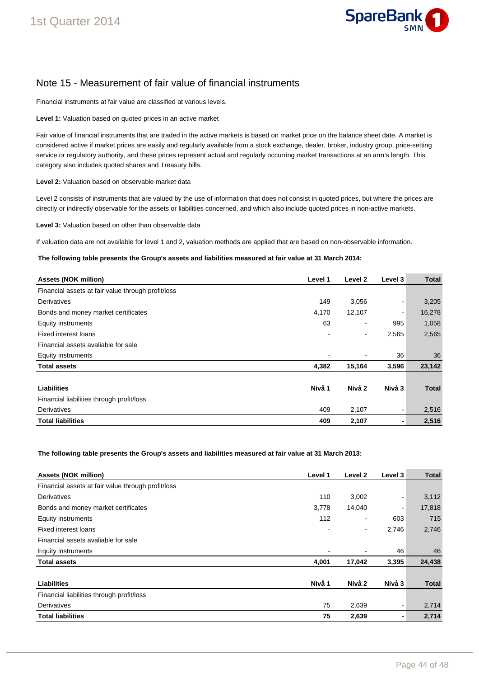

### Note 15 - Measurement of fair value of financial instruments

Financial instruments at fair value are classified at various levels.

**Level 1:** Valuation based on quoted prices in an active market

Fair value of financial instruments that are traded in the active markets is based on market price on the balance sheet date. A market is considered active if market prices are easily and regularly available from a stock exchange, dealer, broker, industry group, price-setting service or regulatory authority, and these prices represent actual and regularly occurring market transactions at an arm's length. This category also includes quoted shares and Treasury bills.

**Level 2:** Valuation based on observable market data

Level 2 consists of instruments that are valued by the use of information that does not consist in quoted prices, but where the prices are directly or indirectly observable for the assets or liabilities concerned, and which also include quoted prices in non-active markets.

**Level 3:** Valuation based on other than observable data

If valuation data are not available for level 1 and 2, valuation methods are applied that are based on non-observable information.

**The following table presents the Group's assets and liabilities measured at fair value at 31 March 2014:** 

| <b>Assets (NOK million)</b>                        | Level 1 | Level 2                  | Level 3 | Total        |
|----------------------------------------------------|---------|--------------------------|---------|--------------|
| Financial assets at fair value through profit/loss |         |                          |         |              |
| Derivatives                                        | 149     | 3,056                    |         | 3,205        |
| Bonds and money market certificates                | 4,170   | 12,107                   |         | 16,278       |
| <b>Equity instruments</b>                          | 63      | ٠                        | 995     | 1,058        |
| Fixed interest loans                               |         | $\blacksquare$           | 2,565   | 2,565        |
| Financial assets avaliable for sale                |         |                          |         |              |
| <b>Equity instruments</b>                          |         | $\overline{\phantom{a}}$ | 36      | 36           |
| <b>Total assets</b>                                | 4,382   | 15,164                   | 3,596   | 23,142       |
|                                                    |         |                          |         |              |
| <b>Liabilities</b>                                 | Nivå 1  | Nivå 2                   | Nivå 3  | <b>Total</b> |
| Financial liabilities through profit/loss          |         |                          |         |              |
| Derivatives                                        | 409     | 2,107                    |         | 2,516        |
| <b>Total liabilities</b>                           | 409     | 2,107                    |         | 2,516        |

**The following table presents the Group's assets and liabilities measured at fair value at 31 March 2013:** 

| <b>Assets (NOK million)</b>                        | Level 1 | Level 2 | Level 3 | <b>Total</b> |
|----------------------------------------------------|---------|---------|---------|--------------|
| Financial assets at fair value through profit/loss |         |         |         |              |
| Derivatives                                        | 110     | 3,002   |         | 3,112        |
| Bonds and money market certificates                | 3,778   | 14,040  |         | 17,818       |
| <b>Equity instruments</b>                          | 112     | ۰       | 603     | 715          |
| <b>Fixed interest loans</b>                        |         | -       | 2,746   | 2,746        |
| Financial assets avaliable for sale                |         |         |         |              |
| <b>Equity instruments</b>                          |         | -       | 46      | 46           |
| <b>Total assets</b>                                | 4,001   | 17,042  | 3,395   | 24,438       |
|                                                    |         |         |         |              |
| Liabilities                                        | Nivå 1  | Nivå 2  | Nivå 3  | <b>Total</b> |
| Financial liabilities through profit/loss          |         |         |         |              |
| Derivatives                                        | 75      | 2,639   |         | 2,714        |
| <b>Total liabilities</b>                           | 75      | 2,639   |         | 2,714        |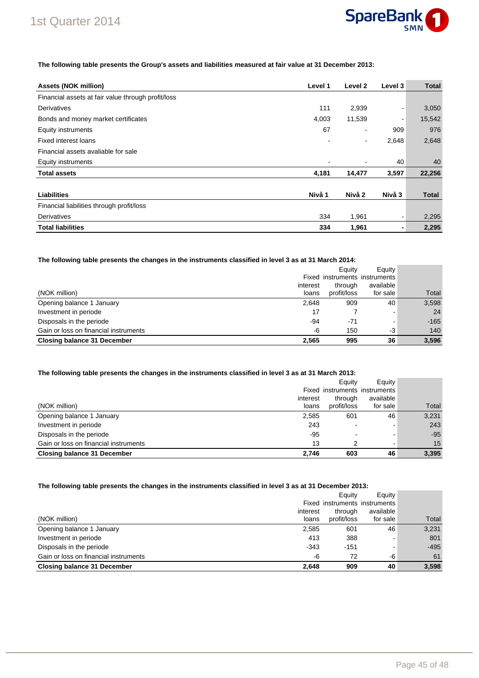

### 1st Quarter 2014

#### **The following table presents the Group's assets and liabilities measured at fair value at 31 December 2013:**

| <b>Assets (NOK million)</b>                        | Level 1 | Level 2                  | Level 3 | <b>Total</b> |
|----------------------------------------------------|---------|--------------------------|---------|--------------|
| Financial assets at fair value through profit/loss |         |                          |         |              |
| Derivatives                                        | 111     | 2,939                    |         | 3,050        |
| Bonds and money market certificates                | 4,003   | 11,539                   | ۰       | 15,542       |
| <b>Equity instruments</b>                          | 67      | $\blacksquare$           | 909     | 976          |
| Fixed interest loans                               |         | $\overline{\phantom{a}}$ | 2,648   | 2,648        |
| Financial assets avaliable for sale                |         |                          |         |              |
| Equity instruments                                 |         |                          | 40      | 40           |
| <b>Total assets</b>                                | 4,181   | 14,477                   | 3,597   | 22,256       |
|                                                    |         |                          |         |              |
| <b>Liabilities</b>                                 | Nivå 1  | Nivå 2                   | Nivå 3  | Total        |
| Financial liabilities through profit/loss          |         |                          |         |              |
| Derivatives                                        | 334     | 1,961                    | ۰       | 2,295        |
| <b>Total liabilities</b>                           | 334     | 1,961                    | ۰       | 2,295        |

#### **The following table presents the changes in the instruments classified in level 3 as at 31 March 2014:**

|                                       |          | Eauity      | Equity                        |        |
|---------------------------------------|----------|-------------|-------------------------------|--------|
|                                       |          |             | Fixed instruments instruments |        |
|                                       | interest | through     | available                     |        |
| (NOK million)                         | loans    | profit/loss | for sale                      | Total  |
| Opening balance 1 January             | 2.648    | 909         | 40                            | 3,598  |
| Investment in periode                 | 17       |             | -                             | 24     |
| Disposals in the periode              | -94      | $-71$       | -                             | $-165$ |
| Gain or loss on financial instruments | -6       | 150         | -3                            | 140    |
| <b>Closing balance 31 December</b>    | 2.565    | 995         | 36                            | 3.596  |

#### **The following table presents the changes in the instruments classified in level 3 as at 31 March 2013:**

|                                       |          | Eauity      | Equity                        |       |
|---------------------------------------|----------|-------------|-------------------------------|-------|
|                                       |          |             | Fixed instruments instruments |       |
|                                       | interest | through     | available                     |       |
| (NOK million)                         | loans    | profit/loss | for sale                      | Total |
| Opening balance 1 January             | 2,585    | 601         | 46                            | 3,231 |
| Investment in periode                 | 243      |             |                               | 243   |
| Disposals in the periode              | $-95$    |             |                               | $-95$ |
| Gain or loss on financial instruments | 13       | ົ           | -                             | 15    |
| <b>Closing balance 31 December</b>    | 2.746    | 603         | 46                            | 3,395 |

#### **The following table presents the changes in the instruments classified in level 3 as at 31 December 2013:**

|                                       |          | Eauity      | Equity <sup>1</sup>           |        |
|---------------------------------------|----------|-------------|-------------------------------|--------|
|                                       |          |             | Fixed instruments instruments |        |
|                                       | interest | through     | available                     |        |
| (NOK million)                         | loans    | profit/loss | for sale                      | Total  |
| Opening balance 1 January             | 2,585    | 601         | 46                            | 3,231  |
| Investment in periode                 | 413      | 388         |                               | 801    |
| Disposals in the periode              | $-343$   | $-151$      |                               | $-495$ |
| Gain or loss on financial instruments | -6       | 72          | -6                            | 61     |
| <b>Closing balance 31 December</b>    | 2.648    | 909         | 40                            | 3,598  |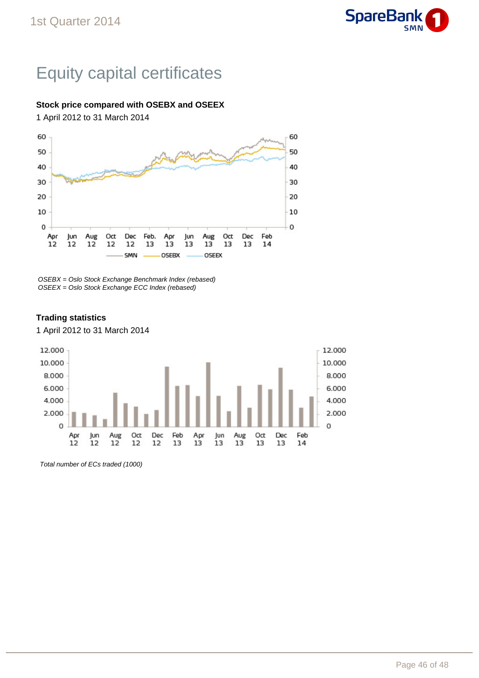

# Equity capital certificates

### **Stock price compared with OSEBX and OSEEX**

1 April 2012 to 31 March 2014



OSEBX = Oslo Stock Exchange Benchmark Index (rebased) OSEEX = Oslo Stock Exchange ECC Index (rebased)

### **Trading statistics**

1 April 2012 to 31 March 2014



Total number of ECs traded (1000)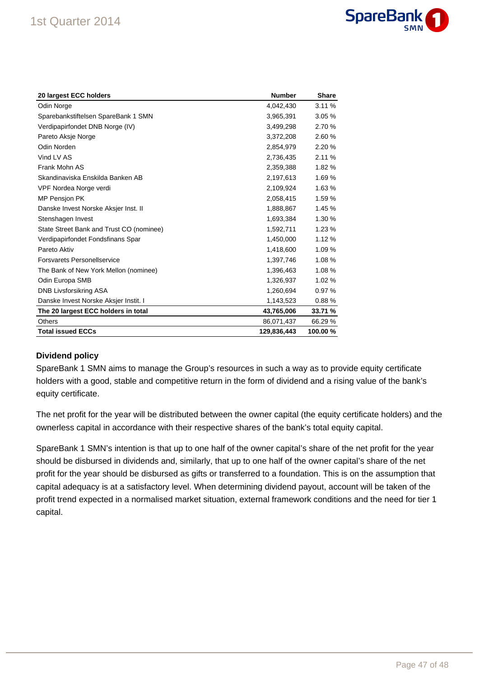

| 20 largest ECC holders                   | <b>Number</b> | <b>Share</b> |
|------------------------------------------|---------------|--------------|
| Odin Norge                               | 4,042,430     | 3.11%        |
| Sparebankstiftelsen SpareBank 1 SMN      | 3,965,391     | 3.05%        |
| Verdipapirfondet DNB Norge (IV)          | 3,499,298     | 2.70 %       |
| Pareto Aksje Norge                       | 3,372,208     | 2.60%        |
| Odin Norden                              | 2,854,979     | 2.20 %       |
| Vind LV AS                               | 2,736,435     | 2.11%        |
| Frank Mohn AS                            | 2,359,388     | 1.82 %       |
| Skandinaviska Enskilda Banken AB         | 2,197,613     | 1.69%        |
| VPF Nordea Norge verdi                   | 2,109,924     | 1.63%        |
| <b>MP Pension PK</b>                     | 2,058,415     | 1.59 %       |
| Danske Invest Norske Aksjer Inst. II     | 1,888,867     | 1.45 %       |
| Stenshagen Invest                        | 1,693,384     | 1.30 %       |
| State Street Bank and Trust CO (nominee) | 1,592,711     | 1.23%        |
| Verdipapirfondet Fondsfinans Spar        | 1,450,000     | 1.12%        |
| Pareto Aktiv                             | 1,418,600     | 1.09%        |
| <b>Forsvarets Personellservice</b>       | 1,397,746     | 1.08 %       |
| The Bank of New York Mellon (nominee)    | 1,396,463     | 1.08 %       |
| Odin Europa SMB                          | 1,326,937     | 1.02%        |
| <b>DNB Livsforsikring ASA</b>            | 1,260,694     | 0.97%        |
| Danske Invest Norske Aksjer Instit. I    | 1,143,523     | 0.88%        |
| The 20 largest ECC holders in total      | 43,765,006    | 33.71 %      |
| <b>Others</b>                            | 86,071,437    | 66.29 %      |
| <b>Total issued ECCs</b>                 | 129,836,443   | 100.00 %     |

### **Dividend policy**

SpareBank 1 SMN aims to manage the Group's resources in such a way as to provide equity certificate holders with a good, stable and competitive return in the form of dividend and a rising value of the bank's equity certificate.

The net profit for the year will be distributed between the owner capital (the equity certificate holders) and the ownerless capital in accordance with their respective shares of the bank's total equity capital.

SpareBank 1 SMN's intention is that up to one half of the owner capital's share of the net profit for the year should be disbursed in dividends and, similarly, that up to one half of the owner capital's share of the net profit for the year should be disbursed as gifts or transferred to a foundation. This is on the assumption that capital adequacy is at a satisfactory level. When determining dividend payout, account will be taken of the profit trend expected in a normalised market situation, external framework conditions and the need for tier 1 capital.